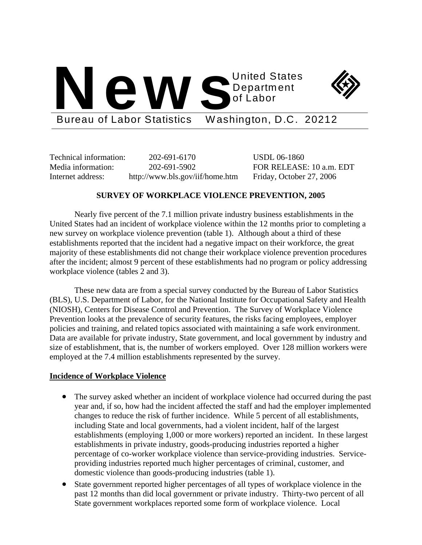# United States<br>Department<br>Bureau of Labor Statistics Washington D.C. Department of Labor



Bureau of Labor Statistics Washington, D.C. 20212

Technical information: 202-691-6170 USDL 06-1860 Internet address: http://www.bls.gov/iif/home.htm Friday, October 27, 2006

Media information: 202-691-5902 FOR RELEASE: 10 a.m. EDT

# **SURVEY OF WORKPLACE VIOLENCE PREVENTION, 2005**

 Nearly five percent of the 7.1 million private industry business establishments in the United States had an incident of workplace violence within the 12 months prior to completing a new survey on workplace violence prevention (table 1). Although about a third of these establishments reported that the incident had a negative impact on their workforce, the great majority of these establishments did not change their workplace violence prevention procedures after the incident; almost 9 percent of these establishments had no program or policy addressing workplace violence (tables 2 and 3).

 These new data are from a special survey conducted by the Bureau of Labor Statistics (BLS), U.S. Department of Labor, for the National Institute for Occupational Safety and Health (NIOSH), Centers for Disease Control and Prevention. The Survey of Workplace Violence Prevention looks at the prevalence of security features, the risks facing employees, employer policies and training, and related topics associated with maintaining a safe work environment. Data are available for private industry, State government, and local government by industry and size of establishment, that is, the number of workers employed. Over 128 million workers were employed at the 7.4 million establishments represented by the survey.

## **Incidence of Workplace Violence**

- The survey asked whether an incident of workplace violence had occurred during the past year and, if so, how had the incident affected the staff and had the employer implemented changes to reduce the risk of further incidence. While 5 percent of all establishments, including State and local governments, had a violent incident, half of the largest establishments (employing 1,000 or more workers) reported an incident. In these largest establishments in private industry, goods-producing industries reported a higher percentage of co-worker workplace violence than service-providing industries. Serviceproviding industries reported much higher percentages of criminal, customer, and domestic violence than goods-producing industries (table 1).
- State government reported higher percentages of all types of workplace violence in the past 12 months than did local government or private industry. Thirty-two percent of all State government workplaces reported some form of workplace violence. Local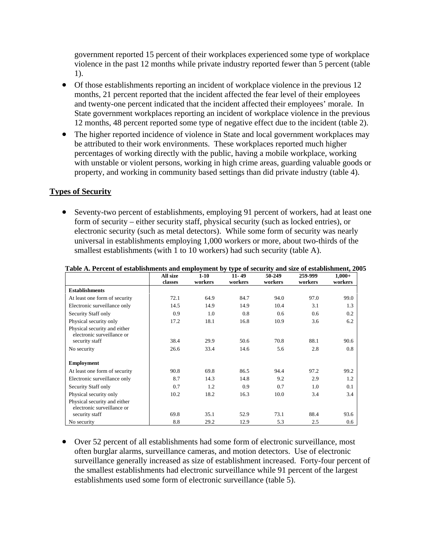government reported 15 percent of their workplaces experienced some type of workplace violence in the past 12 months while private industry reported fewer than 5 percent (table 1).

- Of those establishments reporting an incident of workplace violence in the previous 12 months, 21 percent reported that the incident affected the fear level of their employees and twenty-one percent indicated that the incident affected their employees' morale. In State government workplaces reporting an incident of workplace violence in the previous 12 months, 48 percent reported some type of negative effect due to the incident (table 2).
- The higher reported incidence of violence in State and local government workplaces may be attributed to their work environments. These workplaces reported much higher percentages of working directly with the public, having a mobile workplace, working with unstable or violent persons, working in high crime areas, guarding valuable goods or property, and working in community based settings than did private industry (table 4).

# **Types of Security**

• Seventy-two percent of establishments, employing 91 percent of workers, had at least one form of security – either security staff, physical security (such as locked entries), or electronic security (such as metal detectors). While some form of security was nearly universal in establishments employing 1,000 workers or more, about two-thirds of the smallest establishments (with 1 to 10 workers) had such security (table A).

|                                                            | All size<br>classes | $1-10$<br>workers | $11 - 49$<br>workers | 50-249<br>workers | 259-999<br>workers | $1,000+$<br>workers |
|------------------------------------------------------------|---------------------|-------------------|----------------------|-------------------|--------------------|---------------------|
| <b>Establishments</b>                                      |                     |                   |                      |                   |                    |                     |
| At least one form of security                              | 72.1                | 64.9              | 84.7                 | 94.0              | 97.0               | 99.0                |
| Electronic surveillance only                               | 14.5                | 14.9              | 14.9                 | 10.4              | 3.1                | 1.3                 |
| Security Staff only                                        | 0.9                 | 1.0               | 0.8                  | 0.6               | 0.6                | 0.2                 |
| Physical security only                                     | 17.2                | 18.1              | 16.8                 | 10.9              | 3.6                | 6.2                 |
| Physical security and either<br>electronic surveillance or |                     |                   |                      |                   |                    |                     |
| security staff                                             | 38.4                | 29.9              | 50.6                 | 70.8              | 88.1               | 90.6                |
| No security                                                | 26.6                | 33.4              | 14.6                 | 5.6               | 2.8                | 0.8                 |
| <b>Employment</b>                                          |                     |                   |                      |                   |                    |                     |
| At least one form of security                              | 90.8                | 69.8              | 86.5                 | 94.4              | 97.2               | 99.2                |
| Electronic surveillance only                               | 8.7                 | 14.3              | 14.8                 | 9.2               | 2.9                | 1.2                 |
| Security Staff only                                        | 0.7                 | 1.2               | 0.9                  | 0.7               | 1.0                | 0.1                 |
| Physical security only                                     | 10.2                | 18.2              | 16.3                 | 10.0              | 3.4                | 3.4                 |
| Physical security and either<br>electronic surveillance or |                     |                   |                      |                   |                    |                     |
| security staff                                             | 69.8                | 35.1              | 52.9                 | 73.1              | 88.4               | 93.6                |
| No security                                                | 8.8                 | 29.2              | 12.9                 | 5.3               | 2.5                | 0.6                 |

|  |  |  | Table A. Percent of establishments and employment by type of security and size of establishment, 2005 |
|--|--|--|-------------------------------------------------------------------------------------------------------|
|  |  |  |                                                                                                       |

• Over 52 percent of all establishments had some form of electronic surveillance, most often burglar alarms, surveillance cameras, and motion detectors. Use of electronic surveillance generally increased as size of establishment increased. Forty-four percent of the smallest establishments had electronic surveillance while 91 percent of the largest establishments used some form of electronic surveillance (table 5).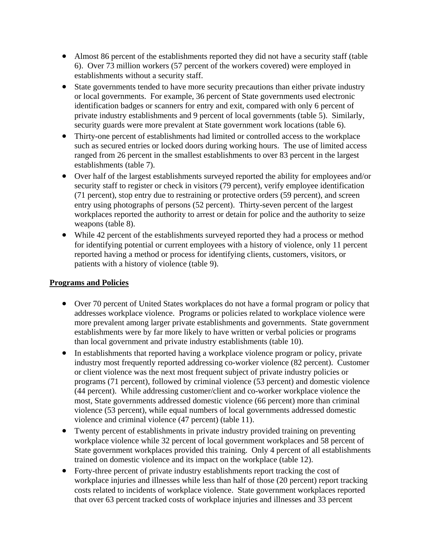- Almost 86 percent of the establishments reported they did not have a security staff (table 6). Over 73 million workers (57 percent of the workers covered) were employed in establishments without a security staff.
- State governments tended to have more security precautions than either private industry or local governments. For example, 36 percent of State governments used electronic identification badges or scanners for entry and exit, compared with only 6 percent of private industry establishments and 9 percent of local governments (table 5). Similarly, security guards were more prevalent at State government work locations (table 6).
- Thirty-one percent of establishments had limited or controlled access to the workplace such as secured entries or locked doors during working hours. The use of limited access ranged from 26 percent in the smallest establishments to over 83 percent in the largest establishments (table 7).
- Over half of the largest establishments surveyed reported the ability for employees and/or security staff to register or check in visitors (79 percent), verify employee identification (71 percent), stop entry due to restraining or protective orders (59 percent), and screen entry using photographs of persons (52 percent). Thirty-seven percent of the largest workplaces reported the authority to arrest or detain for police and the authority to seize weapons (table 8).
- While 42 percent of the establishments surveyed reported they had a process or method for identifying potential or current employees with a history of violence, only 11 percent reported having a method or process for identifying clients, customers, visitors, or patients with a history of violence (table 9).

# **Programs and Policies**

- Over 70 percent of United States workplaces do not have a formal program or policy that addresses workplace violence. Programs or policies related to workplace violence were more prevalent among larger private establishments and governments. State government establishments were by far more likely to have written or verbal policies or programs than local government and private industry establishments (table 10).
- In establishments that reported having a workplace violence program or policy, private industry most frequently reported addressing co-worker violence (82 percent). Customer or client violence was the next most frequent subject of private industry policies or programs (71 percent), followed by criminal violence (53 percent) and domestic violence (44 percent). While addressing customer/client and co-worker workplace violence the most, State governments addressed domestic violence (66 percent) more than criminal violence (53 percent), while equal numbers of local governments addressed domestic violence and criminal violence (47 percent) (table 11).
- Twenty percent of establishments in private industry provided training on preventing workplace violence while 32 percent of local government workplaces and 58 percent of State government workplaces provided this training. Only 4 percent of all establishments trained on domestic violence and its impact on the workplace (table 12).
- Forty-three percent of private industry establishments report tracking the cost of workplace injuries and illnesses while less than half of those (20 percent) report tracking costs related to incidents of workplace violence. State government workplaces reported that over 63 percent tracked costs of workplace injuries and illnesses and 33 percent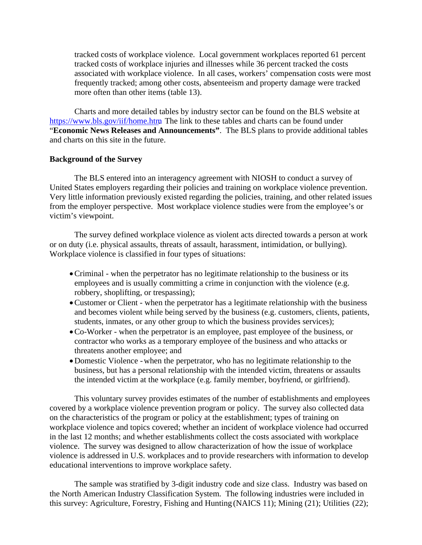tracked costs of workplace violence. Local government workplaces reported 61 percent tracked costs of workplace injuries and illnesses while 36 percent tracked the costs associated with workplace violence. In all cases, workers' compensation costs were most frequently tracked; among other costs, absenteeism and property damage were tracked more often than other items (table 13).

 Charts and more detailed tables by industry sector can be found on the BLS website at https://www.bls.gov/iif/home.htm The link to these tables and charts can be found under "**Economic News Releases and Announcements"**. The BLS plans to provide additional tables and charts on this site in the future.

## **Background of the Survey**

 The BLS entered into an interagency agreement with NIOSH to conduct a survey of United States employers regarding their policies and training on workplace violence prevention. Very little information previously existed regarding the policies, training, and other related issues from the employer perspective. Most workplace violence studies were from the employee's or victim's viewpoint.

 The survey defined workplace violence as violent acts directed towards a person at work or on duty (i.e. physical assaults, threats of assault, harassment, intimidation, or bullying). Workplace violence is classified in four types of situations:

- •Criminal when the perpetrator has no legitimate relationship to the business or its employees and is usually committing a crime in conjunction with the violence (e.g. robbery, shoplifting, or trespassing);
- Customer or Client when the perpetrator has a legitimate relationship with the business and becomes violent while being served by the business (e.g. customers, clients, patients, students, inmates, or any other group to which the business provides services);
- •Co-Worker when the perpetrator is an employee, past employee of the business, or contractor who works as a temporary employee of the business and who attacks or threatens another employee; and
- •Domestic Violence when the perpetrator, who has no legitimate relationship to the business, but has a personal relationship with the intended victim, threatens or assaults the intended victim at the workplace (e.g. family member, boyfriend, or girlfriend).

 This voluntary survey provides estimates of the number of establishments and employees covered by a workplace violence prevention program or policy. The survey also collected data on the characteristics of the program or policy at the establishment; types of training on workplace violence and topics covered; whether an incident of workplace violence had occurred in the last 12 months; and whether establishments collect the costs associated with workplace violence. The survey was designed to allow characterization of how the issue of workplace violence is addressed in U.S. workplaces and to provide researchers with information to develop educational interventions to improve workplace safety.

 The sample was stratified by 3-digit industry code and size class. Industry was based on the North American Industry Classification System. The following industries were included in this survey: Agriculture, Forestry, Fishing and Hunting (NAICS 11); Mining (21); Utilities (22);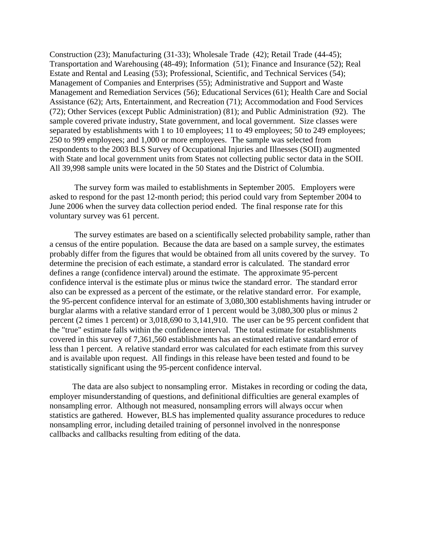Construction (23); Manufacturing (31-33); Wholesale Trade (42); Retail Trade (44-45); Transportation and Warehousing (48-49); Information (51); Finance and Insurance (52); Real Estate and Rental and Leasing (53); Professional, Scientific, and Technical Services (54); Management of Companies and Enterprises (55); Administrative and Support and Waste Management and Remediation Services (56); Educational Services (61); Health Care and Social Assistance (62); Arts, Entertainment, and Recreation (71); Accommodation and Food Services (72); Other Services (except Public Administration) (81); and Public Administration (92). The sample covered private industry, State government, and local government. Size classes were separated by establishments with 1 to 10 employees; 11 to 49 employees; 50 to 249 employees; 250 to 999 employees; and 1,000 or more employees. The sample was selected from respondents to the 2003 BLS Survey of Occupational Injuries and Illnesses (SOII) augmented with State and local government units from States not collecting public sector data in the SOII. All 39,998 sample units were located in the 50 States and the District of Columbia.

 The survey form was mailed to establishments in September 2005. Employers were asked to respond for the past 12-month period; this period could vary from September 2004 to June 2006 when the survey data collection period ended. The final response rate for this voluntary survey was 61 percent.

 The survey estimates are based on a scientifically selected probability sample, rather than a census of the entire population. Because the data are based on a sample survey, the estimates probably differ from the figures that would be obtained from all units covered by the survey. To determine the precision of each estimate, a standard error is calculated. The standard error defines a range (confidence interval) around the estimate. The approximate 95-percent confidence interval is the estimate plus or minus twice the standard error. The standard error also can be expressed as a percent of the estimate, or the relative standard error. For example, the 95-percent confidence interval for an estimate of 3,080,300 establishments having intruder or burglar alarms with a relative standard error of 1 percent would be 3,080,300 plus or minus 2 percent (2 times 1 percent) or 3,018,690 to 3,141,910. The user can be 95 percent confident that the "true" estimate falls within the confidence interval. The total estimate for establishments covered in this survey of 7,361,560 establishments has an estimated relative standard error of less than 1 percent. A relative standard error was calculated for each estimate from this survey and is available upon request. All findings in this release have been tested and found to be statistically significant using the 95-percent confidence interval.

 The data are also subject to nonsampling error. Mistakes in recording or coding the data, employer misunderstanding of questions, and definitional difficulties are general examples of nonsampling error. Although not measured, nonsampling errors will always occur when statistics are gathered. However, BLS has implemented quality assurance procedures to reduce nonsampling error, including detailed training of personnel involved in the nonresponse callbacks and callbacks resulting from editing of the data.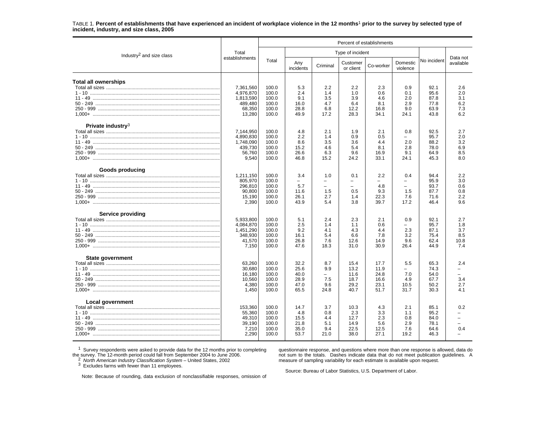#### TABLE 1. **Percent of establishments that have experienced an incident of workplace violence in the 12 months**<sup>1</sup> **prior to the survey by selected type of incident, industry, and size class, 2005**

|                                          |                    | Percent of establishments |                  |                                 |                                 |              |                               |              |                       |  |  |
|------------------------------------------|--------------------|---------------------------|------------------|---------------------------------|---------------------------------|--------------|-------------------------------|--------------|-----------------------|--|--|
| Industry <sup>2</sup> and size class     | Total              |                           |                  |                                 | Type of incident                |              |                               |              |                       |  |  |
|                                          | establishments     | Total                     | Any<br>incidents | Criminal                        | Customer<br>or client           | Co-worker    | Domestic<br>violence          | No incident  | Data not<br>available |  |  |
| <b>Total all ownerships</b>              |                    |                           |                  |                                 |                                 |              |                               |              |                       |  |  |
|                                          | 7,361,560          | 100.0                     | 5.3              | 2.2                             | 2.2                             | 2.3          | 0.9                           | 92.1         | 2.6                   |  |  |
|                                          | 4,976,870          | 100.0                     | 2.4              | 1.4                             | 1.0                             | 0.6          | 0.1                           | 95.6         | 2.0                   |  |  |
|                                          | 1,813,590          | 100.0                     | 9.1              | 3.5                             | 3.9                             | 4.6          | 2.0                           | 87.8         | 3.1                   |  |  |
|                                          | 489,480<br>68,350  | 100.0                     | 16.0<br>28.8     | 4.7                             | 6.4<br>12.2                     | 8.1          | 2.9<br>9.0                    | 77.8         | 6.2                   |  |  |
|                                          | 13,280             | 100.0<br>100.0            | 49.9             | 6.8<br>17.2                     | 28.3                            | 16.8<br>34.1 | 24.1                          | 63.9<br>43.8 | 7.3<br>6.2            |  |  |
| Private industry <sup>3</sup>            |                    |                           |                  |                                 |                                 |              |                               |              |                       |  |  |
|                                          | 7,144,950          | 100.0                     | 4.8              | 2.1                             | 1.9                             | 2.1          | 0.8                           | 92.5         | 2.7                   |  |  |
|                                          | 4,890,830          | 100.0                     | 2.2              | 1.4                             | 0.9                             | 0.5          | $\equiv$                      | 95.7         | 2.0                   |  |  |
|                                          | 1,748,090          | 100.0                     | 8.6              | 3.5                             | 3.6                             | 4.4          | 2.0                           | 88.2         | 3.2                   |  |  |
|                                          | 439,730            | 100.0                     | 15.2             | 4.6                             | 5.4                             | 8.1          | 2.8                           | 78.0         | 6.9                   |  |  |
|                                          | 56,760             | 100.0                     | 26.6             | 6.3                             | 9.6                             | 16.9         | 9.1                           | 64.9         | 8.5                   |  |  |
| 1.000+ ……………………………………………………………………………………… | 9,540              | 100.0                     | 46.8             | 15.2                            | 24.2                            | 33.1         | 24.1                          | 45.3         | 8.0                   |  |  |
| <b>Goods producing</b>                   |                    |                           |                  |                                 |                                 |              |                               |              |                       |  |  |
|                                          | 1,211,150          | 100.0<br>100.0            | 3.4<br>$\equiv$  | 1.0<br>$\overline{\phantom{0}}$ | 0.1<br>$\overline{\phantom{m}}$ | 2.2          | 0.4                           | 94.4<br>95.9 | 2.2<br>3.0            |  |  |
|                                          | 805,970<br>296,810 | 100.0                     | 5.7              | $\equiv$                        | $\equiv$                        | 4.8          | $\qquad \qquad -$<br>$\equiv$ | 93.7         | 0.6                   |  |  |
|                                          | 90,800             | 100.0                     | 11.6             | 1.5                             | 0.5                             | 9.3          | 1.5                           | 87.7         | 0.8                   |  |  |
|                                          | 15,190             | 100.0                     | 26.1             | 2.7                             | 1.4                             | 22.3         | 7.6                           | 71.6         | 2.2                   |  |  |
|                                          | 2,390              | 100.0                     | 43.9             | 5.4                             | 3.8                             | 39.7         | 17.2                          | 46.4         | 9.6                   |  |  |
| <b>Service providing</b>                 |                    |                           |                  |                                 |                                 |              |                               |              |                       |  |  |
|                                          | 5,933,800          | 100.0                     | 5.1              | 2.4                             | 2.3                             | 2.1          | 0.9                           | 92.1         | 2.7                   |  |  |
|                                          | 4,084,870          | 100.0                     | 2.5              | 1.4                             | 1.1                             | 0.6          | $\overline{\phantom{a}}$      | 95.7         | 1.8                   |  |  |
|                                          | 1,451,290          | 100.0                     | 9.2              | 4.1                             | 4.3                             | 4.4          | 2.3                           | 87.1         | 3.7                   |  |  |
|                                          | 348,930            | 100.0                     | 16.1             | 5.4                             | 6.6                             | 7.8          | 3.2                           | 75.4         | 8.5                   |  |  |
|                                          | 41,570             | 100.0                     | 26.8             | 7.6                             | 12.6                            | 14.9         | 9.6                           | 62.4         | 10.8                  |  |  |
|                                          | 7,150              | 100.0                     | 47.6             | 18.3                            | 31.0                            | 30.9         | 26.4                          | 44.9         | 7.4                   |  |  |
| State government                         | 63,260             | 100.0                     | 32.2             | 8.7                             | 15.4                            | 17.7         | 5.5                           | 65.3         | 2.4                   |  |  |
|                                          |                    |                           |                  | 9.9                             |                                 |              | $\overline{\phantom{m}}$      |              |                       |  |  |
|                                          | 30,680<br>16,180   | 100.0<br>100.0            | 25.6<br>40.0     | $\overline{\phantom{a}}$        | 13.2<br>11.6                    | 11.9<br>24.8 | 7.0                           | 74.3<br>54.0 |                       |  |  |
|                                          | 10,560             | 100.0                     | 28.9             | 7.5                             | 18.7                            | 16.6         | 4.9                           | 67.7         | 3.4                   |  |  |
|                                          | 4,380              | 100.0                     | 47.0             | 9.6                             | 29.2                            | 23.1         | 10.5                          | 50.2         | 2.7                   |  |  |
|                                          | 1.450              | 100.0                     | 65.5             | 24.8                            | 40.7                            | 51.7         | 31.7                          | 30.3         | 4.1                   |  |  |
| Local government                         |                    |                           |                  |                                 |                                 |              |                               |              |                       |  |  |
|                                          | 153,360            | 100.0                     | 14.7             | 3.7                             | 10.3                            | 4.3          | 2.1                           | 85.1         | 0.2                   |  |  |
|                                          | 55,360             | 100.0                     | 4.8              | 0.8                             | 2.3                             | 3.3          | 1.1                           | 95.2         |                       |  |  |
|                                          | 49,310             | 100.0                     | 15.5             | 4.4                             | 12.7                            | 2.3          | 0.8                           | 84.0         |                       |  |  |
|                                          | 39,190             | 100.0                     | 21.8             | 5.1                             | 14.9                            | 5.6          | 2.9                           | 78.1         |                       |  |  |
|                                          | 7,210              | 100.0                     | 35.0             | 9.4                             | 22.5                            | 12.5         | 7.6                           | 64.6         | 0.4                   |  |  |
|                                          | 2,290              | 100.0                     | 53.7             | 21.0                            | 38.0                            | 27.1         | 19.2                          | 46.3         |                       |  |  |
|                                          |                    |                           |                  |                                 |                                 |              |                               |              |                       |  |  |

 $1$  Survey respondents were asked to provide data for the 12 months prior to completing the survey. The 12-month period could fall from September 2004 to June 2006.<br><sup>2</sup> *North American Industry Classification System* – United States, 2002<br><sup>3</sup> Excludes farms with fewer than 11 employees.

questionnaire response, and questions where more than one response is allowed, data do not sum to the totals. Dashes indicate data that do not meet publication guidelines. A measure of sampling variability for each estimate is available upon request.

Source: Bureau of Labor Statistics, U.S. Department of Labor.

Note: Because of rounding, data exclusion of nonclassifiable responses, omission of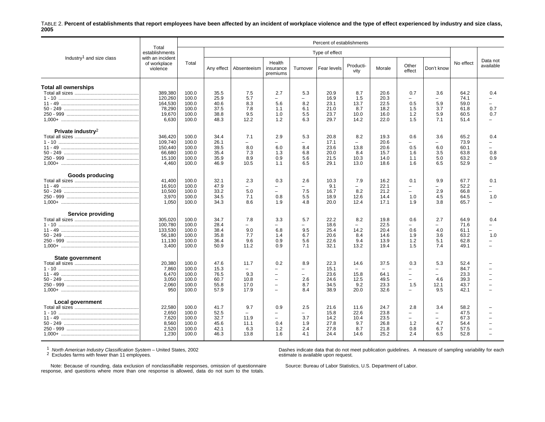#### TABLE 2. **Percent of establishments that report employees have been affected by an incident of workplace violence and the type of effect experienced by industry and size class, 2005**

|                                       |                                                            | Percent of establishments                          |                                              |                                                                |                                                                                                                           |                                                                                  |                                              |                                                                 |                                                        |                                                                                                                            |                                                                                   |                                              |                                                                |
|---------------------------------------|------------------------------------------------------------|----------------------------------------------------|----------------------------------------------|----------------------------------------------------------------|---------------------------------------------------------------------------------------------------------------------------|----------------------------------------------------------------------------------|----------------------------------------------|-----------------------------------------------------------------|--------------------------------------------------------|----------------------------------------------------------------------------------------------------------------------------|-----------------------------------------------------------------------------------|----------------------------------------------|----------------------------------------------------------------|
|                                       | Total<br>establishments                                    |                                                    |                                              |                                                                |                                                                                                                           |                                                                                  | Type of effect                               |                                                                 |                                                        |                                                                                                                            |                                                                                   |                                              |                                                                |
| Industry <sup>1</sup> and size class  | with an incident<br>of workplace<br>violence               | Total                                              | Any effect                                   | Absenteeism                                                    | Health<br>insurance<br>premiums                                                                                           | Turnover                                                                         | Fear levels                                  | Producti-<br>vity                                               | Morale                                                 | Other<br>effect                                                                                                            | Don't know                                                                        | No effect                                    | Data not<br>available                                          |
| <b>Total all ownerships</b>           | 389.380<br>120,260                                         | 100.0<br>100.0                                     | 35.5<br>25.9                                 | 7.5<br>5.7                                                     | 2.7<br>$\overline{\phantom{0}}$                                                                                           | 5.3                                                                              | 20.9<br>16.9                                 | 8.7<br>1.5                                                      | 20.6<br>20.3                                           | 0.7<br>$\overline{\phantom{0}}$                                                                                            | 3.6<br>$\overline{\phantom{0}}$                                                   | 64.2<br>74.1                                 | 0.4<br>$\overline{\phantom{0}}$                                |
|                                       | 164,530<br>78.290<br>19,670<br>6,630                       | 100.0<br>100.0<br>100.0<br>100.0                   | 40.6<br>37.5<br>38.8<br>48.3                 | 8.3<br>7.8<br>9.5<br>12.2                                      | 5.6<br>1.1<br>1.0<br>1.2                                                                                                  | 8.2<br>6.1<br>5.5<br>6.3                                                         | 23.1<br>21.0<br>23.7<br>29.7                 | 13.7<br>8.7<br>10.0<br>14.2                                     | 22.5<br>18.2<br>16.0<br>22.0                           | 0.5<br>1.5<br>1.2<br>1.5                                                                                                   | 5.9<br>3.7<br>5.9<br>7.1                                                          | 59.0<br>61.8<br>60.5<br>51.4                 | 0.7<br>0.7                                                     |
| Private industry <sup>2</sup>         | 346,420<br>109.740<br>150,440<br>66,680<br>15,100<br>4.460 | 100.0<br>100.0<br>100.0<br>100.0<br>100.0<br>100.0 | 34.4<br>26.1<br>39.5<br>35.4<br>35.9<br>46.9 | 7.1<br>8.0<br>7.3<br>8.9<br>10.5                               | 2.9<br>6.0<br>1.3<br>0.9<br>1.1                                                                                           | 5.3<br>$\equiv$<br>8.4<br>6.8<br>5.6<br>6.5                                      | 20.8<br>17.1<br>23.6<br>20.0<br>21.5<br>29.1 | 8.2<br>13.8<br>8.4<br>10.3<br>13.0                              | 19.3<br>20.6<br>20.6<br>15.7<br>14.0<br>18.6           | 0.6<br>$\overline{\phantom{0}}$<br>0.5<br>1.6<br>1.1<br>1.6                                                                | 3.6<br>$\equiv$<br>6.0<br>3.5<br>5.0<br>6.5                                       | 65.2<br>73.9<br>60.1<br>63.8<br>63.2<br>52.9 | 0.4<br>$\equiv$<br>0.8<br>0.9                                  |
| <b>Goods producing</b><br>$11 - 49$   | 41,400<br>16,910<br>10,500<br>3,970<br>1,050               | 100.0<br>100.0<br>100.0<br>100.0<br>100.0          | 32.1<br>47.9<br>33.2<br>34.5<br>34.3         | 2.3<br>$\equiv$<br>5.0<br>7.1<br>8.6                           | 0.3<br>$\overline{\phantom{0}}$<br>$\overline{\phantom{0}}$<br>0.8<br>1.9                                                 | 2.6<br>$\equiv$<br>7.5<br>5.5<br>4.8                                             | 10.3<br>9.1<br>16.7<br>18.9<br>20.0          | 7.9<br>$\overline{\phantom{0}}$<br>8.2<br>12.6<br>12.4          | 16.2<br>22.1<br>21.2<br>14.4<br>17.1                   | 0.1<br>$\overline{\phantom{m}}$<br>$\overline{\phantom{m}}$<br>1.0<br>1.9                                                  | 9.9<br>$\overline{\phantom{0}}$<br>2.9<br>4.5<br>3.8                              | 67.7<br>52.2<br>66.8<br>64.5<br>65.7         | 0.1<br>$\equiv$<br>$\equiv$<br>1.0<br>$\overline{\phantom{0}}$ |
| <b>Service providing</b><br>$11 - 49$ | 305,020<br>100.780<br>133,530<br>56,180<br>11,130<br>3,400 | 100.0<br>100.0<br>100.0<br>100.0<br>100.0<br>100.0 | 34.7<br>28.4<br>38.4<br>35.8<br>36.4<br>50.9 | 7.8<br>$\equiv$<br>9.0<br>7.7<br>9.6<br>11.2                   | 3.3<br>$\equiv$<br>6.8<br>1.4<br>0.9<br>0.9                                                                               | 5.7<br>$\equiv$<br>9.5<br>6.7<br>5.6<br>7.1                                      | 22.2<br>18.6<br>25.4<br>20.6<br>22.6<br>32.1 | 8.2<br>$\equiv$<br>14.2<br>8.4<br>9.4<br>13.2                   | 19.8<br>22.5<br>20.4<br>14.6<br>13.9<br>19.4           | 0.6<br>$\overline{\phantom{m}}$<br>0.6<br>1.9<br>1.2<br>1.5                                                                | 2.7<br>$\overline{\phantom{0}}$<br>4.0<br>3.6<br>5.1<br>7.4                       | 64.9<br>71.6<br>61.1<br>63.2<br>62.8<br>49.1 | 0.4<br>$\equiv$<br>$\overline{\phantom{0}}$<br>1.0<br>$\equiv$ |
| State government                      | 20,380<br>7,860<br>6,470<br>3,050<br>2,060<br>950          | 100.0<br>100.0<br>100.0<br>100.0<br>100.0<br>100.0 | 47.6<br>15.3<br>76.5<br>60.7<br>55.8<br>57.9 | 11.7<br>$\equiv$<br>9.3<br>10.8<br>17.0<br>17.9                | 0.2<br>$\overline{\phantom{0}}$<br>$\overline{\phantom{0}}$<br>$\overline{\phantom{0}}$<br>$\overline{\phantom{0}}$<br>L. | 8.9<br>$\overline{\phantom{0}}$<br>$\overline{\phantom{a}}$<br>2.6<br>8.7<br>8.4 | 22.3<br>15.1<br>23.6<br>24.6<br>34.5<br>38.9 | 14.6<br>$\overline{\phantom{0}}$<br>15.8<br>12.5<br>9.2<br>20.0 | 37.5<br>$\overline{a}$<br>64.1<br>49.5<br>23.3<br>32.6 | 0.3<br>$\overline{\phantom{0}}$<br>$\overline{\phantom{0}}$<br>$\overline{\phantom{0}}$<br>1.5<br>$\overline{\phantom{0}}$ | 5.3<br>$\overline{\phantom{0}}$<br>$\overline{\phantom{0}}$<br>4.6<br>12.1<br>9.5 | 52.4<br>84.7<br>23.3<br>39.3<br>43.7<br>42.1 |                                                                |
| <b>Local government</b>               | 22,580<br>2,650<br>7,620<br>8,560<br>2,520<br>1,230        | 100.0<br>100.0<br>100.0<br>100.0<br>100.0<br>100.0 | 41.7<br>52.5<br>32.7<br>45.6<br>42.1<br>46.3 | 9.7<br>$\overline{\phantom{0}}$<br>11.9<br>11.1<br>6.3<br>13.8 | 0.9<br>$\overline{\phantom{0}}$<br>$\overline{\phantom{0}}$<br>0.4<br>1.2<br>1.6                                          | 2.5<br>$\overline{\phantom{0}}$<br>3.7<br>1.9<br>2.4<br>4.1                      | 21.6<br>15.8<br>14.2<br>27.8<br>27.8<br>24.4 | 11.6<br>22.6<br>10.4<br>9.7<br>8.7<br>14.6                      | 24.7<br>23.8<br>23.5<br>26.8<br>21.8<br>25.2           | 2.8<br>$\overline{\phantom{0}}$<br>$\overline{\phantom{m}}$<br>1.2<br>0.8<br>2.4                                           | 3.4<br>$\overline{\phantom{0}}$<br>$\overline{\phantom{0}}$<br>4.7<br>6.7<br>6.5  | 58.2<br>47.5<br>67.3<br>54.4<br>57.5<br>52.8 |                                                                |

<sup>1</sup> North American Industry Classification System – United States, 2002<br><sup>2</sup> Excludes farms with fewer than 11 employees.

Dashes indicate data that do not meet publication guidelines. A measure of sampling variability for each estimate is available upon request.

Note: Because of rounding, data exclusion of nonclassifiable responses, omission of questionnaire response, and questions where more than one response is allowed, data do not sum to the totals.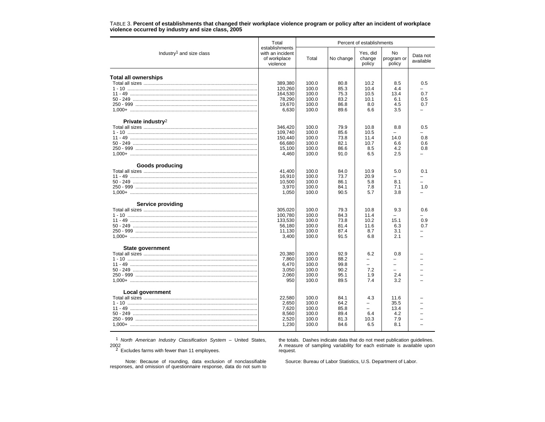|                                          | Total                                                          | Percent of establishments |              |                              |                            |                          |  |  |  |  |
|------------------------------------------|----------------------------------------------------------------|---------------------------|--------------|------------------------------|----------------------------|--------------------------|--|--|--|--|
| Industry <sup>1</sup> and size class     | establishments<br>with an incident<br>of workplace<br>violence | Total                     | No change    | Yes, did<br>change<br>policy | No<br>program or<br>policy | Data not<br>available    |  |  |  |  |
|                                          |                                                                |                           |              |                              |                            |                          |  |  |  |  |
| Total all ownerships                     |                                                                |                           |              |                              |                            |                          |  |  |  |  |
|                                          | 389.380                                                        | 100.0                     | 80.8         | 10.2                         | 8.5                        | 0.5                      |  |  |  |  |
|                                          | 120,260                                                        | 100.0                     | 85.3         | 10.4                         | 4.4                        |                          |  |  |  |  |
|                                          | 164,530<br>78,290                                              | 100.0<br>100.0            | 75.3<br>83.2 | 10.5<br>10.1                 | 13.4<br>6.1                | 0.7<br>0.5               |  |  |  |  |
|                                          |                                                                |                           |              | 8.0                          |                            | 0.7                      |  |  |  |  |
| 1.000+ ……………………………………………………………………………………… | 19,670<br>6,630                                                | 100.0<br>100.0            | 86.8<br>89.6 | 6.6                          | 4.5<br>3.5                 |                          |  |  |  |  |
| Private industry <sup>2</sup>            |                                                                |                           |              |                              |                            |                          |  |  |  |  |
|                                          | 346,420                                                        | 100.0                     | 79.9         | 10.8                         | 8.8                        | 0.5                      |  |  |  |  |
|                                          | 109.740                                                        | 100.0                     | 85.6         | 10.5                         |                            |                          |  |  |  |  |
|                                          | 150,440                                                        | 100.0                     | 73.8         | 11.4                         | 14.0                       | 0.8                      |  |  |  |  |
|                                          | 66.680                                                         | 100.0                     | 82.1         | 10.7                         | 6.6                        | 0.6                      |  |  |  |  |
|                                          | 15,100                                                         | 100.0                     | 86.6         | 8.5                          | 4.2                        | 0.8                      |  |  |  |  |
|                                          | 4,460                                                          | 100.0                     | 91.0         | 6.5                          | 2.5                        |                          |  |  |  |  |
| <b>Goods producing</b>                   |                                                                |                           |              |                              |                            |                          |  |  |  |  |
|                                          | 41,400                                                         | 100.0                     | 84.0         | 10.9                         | 5.0                        | 0.1                      |  |  |  |  |
|                                          | 16.910                                                         | 100.0                     | 73.7         | 20.9                         |                            | $\overline{\phantom{0}}$ |  |  |  |  |
|                                          | 10,500                                                         | 100.0                     | 86.1         | 5.8                          | 8.1                        |                          |  |  |  |  |
|                                          | 3,970                                                          | 100.0                     | 84.1         | 7.8                          | 7.1                        | 1.0                      |  |  |  |  |
| 1.000+ ……………………………………………………………………………………  | 1,050                                                          | 100.0                     | 90.5         | 5.7                          | 3.8                        |                          |  |  |  |  |
| <b>Service providing</b>                 |                                                                |                           |              |                              |                            |                          |  |  |  |  |
|                                          | 305.020                                                        | 100.0                     | 79.3         | 10.8                         | 9.3                        | 0.6                      |  |  |  |  |
|                                          | 100,780                                                        | 100.0                     | 84.3         | 11.4                         |                            |                          |  |  |  |  |
|                                          | 133,530                                                        | 100.0                     | 73.8         | 10.2                         | 15.1                       | 0.9                      |  |  |  |  |
|                                          | 56,180                                                         | 100.0                     | 81.4         | 11.6                         | 6.3                        | 0.7                      |  |  |  |  |
|                                          | 11,130                                                         | 100.0                     | 87.4         | 8.7                          | 3.1                        |                          |  |  |  |  |
|                                          | 3,400                                                          | 100.0                     | 91.5         | 6.8                          | 2.1                        |                          |  |  |  |  |
| State government                         |                                                                |                           |              |                              |                            |                          |  |  |  |  |
|                                          | 20,380                                                         | 100.0                     | 92.9         | 6.2                          | 0.8                        |                          |  |  |  |  |
|                                          | 7,860                                                          | 100.0                     | 88.2         | ÷                            |                            |                          |  |  |  |  |
|                                          | 6,470                                                          | 100.0                     | 99.8         | $=$<br>7.2                   | $\equiv$<br>L,             |                          |  |  |  |  |
|                                          | 3,050                                                          | 100.0                     | 90.2         |                              |                            |                          |  |  |  |  |
|                                          | 2,060                                                          | 100.0                     | 95.1         | 1.9                          | 2.4                        |                          |  |  |  |  |
| 1.000+ ……………………………………………………………………………………… | 950                                                            | 100.0                     | 89.5         | 7.4                          | 3.2                        |                          |  |  |  |  |
| <b>Local government</b>                  |                                                                |                           |              |                              |                            |                          |  |  |  |  |
|                                          | 22,580                                                         | 100.0                     | 84.1         | 4.3                          | 11.6                       |                          |  |  |  |  |
|                                          | 2.650                                                          | 100.0                     | 64.2         | L,                           | 35.5                       |                          |  |  |  |  |
|                                          | 7,620                                                          | 100.0                     | 85.8         | $\overline{\phantom{0}}$     | 13.4                       |                          |  |  |  |  |
|                                          | 8.560                                                          | 100.0                     | 89.4         | 6.4                          | 4.2                        |                          |  |  |  |  |
|                                          | 2,520                                                          | 100.0                     | 81.3         | 10.3                         | 7.9                        |                          |  |  |  |  |
|                                          | 1,230                                                          | 100.0                     | 84.6         | 6.5                          | 8.1                        |                          |  |  |  |  |

TABLE 3. **Percent of establishments that changed their workplace violence program or policy after an incident of workplace violence occurred by industry and size class, 2005**

1 *North American Industry Classification System* – United States, 2002 2 Excludes farms with fewer than 11 employees.

the totals. Dashes indicate data that do not meet publication guidelines. A measure of sampling variability for each estimate is available upon request.

Note: Because of rounding, data exclusion of nonclassifiable responses, and omission of questionnaire response, data do not sum to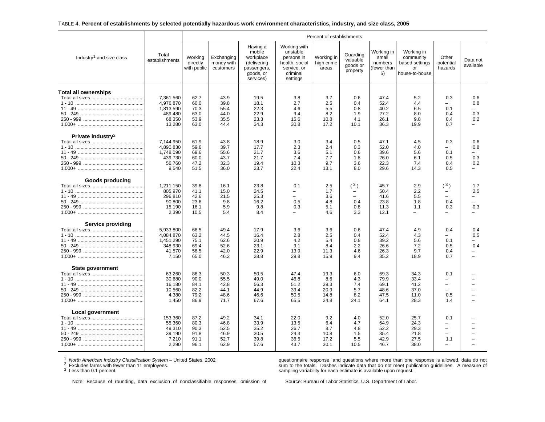#### TABLE 4. **Percent of establishments by selected potentially hazardous work environment characteristics, industry, and size class, 2005**

|                                      |                                                                    |                                              | Percent of establishments                    |                                                                                         |                                                                                                 |                                             |                                                      |                                                    |                                                                   |                                                                     |                                               |  |
|--------------------------------------|--------------------------------------------------------------------|----------------------------------------------|----------------------------------------------|-----------------------------------------------------------------------------------------|-------------------------------------------------------------------------------------------------|---------------------------------------------|------------------------------------------------------|----------------------------------------------------|-------------------------------------------------------------------|---------------------------------------------------------------------|-----------------------------------------------|--|
| Industry <sup>1</sup> and size class | Total<br>establishments                                            | Working<br>directly<br>with public           | Exchanging<br>money with<br>customers        | Having a<br>mobile<br>workplace<br>(delivering<br>passengers.<br>goods, or<br>services) | Working with<br>unstable<br>persons in<br>health, social<br>service, or<br>criminal<br>settings | Working in<br>high crime<br>areas           | Guarding<br>valuable<br>goods or<br>property         | Working in<br>small<br>numbers<br>fewer than<br>5) | Working in<br>community<br>based settings<br>or<br>house-to-house | Other<br>potential<br>hazards                                       | Data not<br>available                         |  |
| <b>Total all ownerships</b>          | 7,361,560<br>4,976,870<br>1,813,590<br>489,480<br>68,350<br>13,280 | 62.7<br>60.0<br>70.3<br>63.0<br>53.9<br>63.0 | 43.9<br>39.8<br>55.4<br>44.0<br>35.5<br>44.4 | 19.5<br>18.1<br>22.3<br>22.9<br>23.3<br>34.3                                            | 3.8<br>2.7<br>4.6<br>9.4<br>15.6<br>30.8                                                        | 3.7<br>2.5<br>5.5<br>8.2<br>10.8<br>17.2    | 0.6<br>0.4<br>0.8<br>1.9<br>4.1<br>10.1              | 47.4<br>52.4<br>40.2<br>27.2<br>26.1<br>36.3       | 5.2<br>4.4<br>6.5<br>8.0<br>9.8<br>19.9                           | 0.3<br>0.1<br>0.4<br>0.4<br>0.7                                     | 0.6<br>0.8<br>0.3<br>0.2                      |  |
| Private industry <sup>2</sup>        | 7,144,950<br>4,890,830<br>1,748,090<br>439,730<br>56,760<br>9,540  | 61.9<br>59.6<br>69.6<br>60.0<br>47.2<br>51.5 | 43.8<br>39.7<br>55.6<br>43.7<br>32.3<br>36.0 | 18.9<br>17.7<br>21.7<br>21.7<br>19.4<br>23.7                                            | 3.0<br>2.3<br>3.6<br>7.4<br>10.3<br>22.4                                                        | 3.4<br>2.4<br>5.1<br>7.7<br>9.7<br>13.1     | 0.5<br>0.3<br>0.6<br>1.8<br>3.6<br>8.0               | 47.1<br>52.0<br>39.6<br>26.0<br>22.3<br>29.6       | 4.5<br>4.0<br>5.6<br>6.1<br>7.4<br>14.3                           | 0.3<br>0.1<br>0.5<br>0.4<br>0.5                                     | 0.6<br>0.8<br>$=$<br>0.3<br>0.2               |  |
| <b>Goods producing</b>               | 1,211,150<br>805,970<br>296.810<br>90,800<br>15,190<br>2,390       | 39.8<br>41.1<br>42.6<br>23.6<br>16.1<br>10.5 | 16.1<br>15.0<br>21.5<br>9.8<br>5.9<br>5.4    | 23.8<br>24.5<br>25.3<br>16.2<br>9.8<br>8.4                                              | 0.1<br>$\overline{\phantom{0}}$<br>$\equiv$<br>0.5<br>0.3                                       | 2.5<br>1.7<br>3.6<br>4.8<br>5.1<br>4.6      | (3)<br>$\overline{\phantom{0}}$<br>0.4<br>0.8<br>3.3 | 45.7<br>50.4<br>41.6<br>23.8<br>11.3<br>12.1       | 2.9<br>2.2<br>5.5<br>1.8<br>1.1<br>$\overline{\phantom{0}}$       | (3)<br>$\equiv$<br>0.4<br>0.3                                       | 1.7<br>2.5<br>$\overline{\phantom{0}}$<br>0.3 |  |
| <b>Service providing</b>             | 5,933,800<br>4,084,870<br>1,451,290<br>348,930<br>41,570<br>7,150  | 66.5<br>63.2<br>75.1<br>69.4<br>58.5<br>65.0 | 49.4<br>44.5<br>62.6<br>52.6<br>42.0<br>46.2 | 17.9<br>16.4<br>20.9<br>23.1<br>22.9<br>28.8                                            | 3.6<br>2.8<br>4.2<br>9.1<br>13.9<br>29.8                                                        | 3.6<br>2.5<br>5.4<br>8.4<br>11.3<br>15.9    | 0.6<br>0.4<br>0.8<br>2.2<br>4.6<br>9.4               | 47.4<br>52.4<br>39.2<br>26.6<br>26.3<br>35.2       | 4.9<br>4.3<br>5.6<br>7.2<br>9.7<br>18.9                           | 0.4<br>0.1<br>0.5<br>0.4<br>0.7                                     | 0.4<br>0.5<br>0.4<br>$\equiv$                 |  |
| <b>State government</b>              | 63,260<br>30,680<br>16,180<br>10,560<br>4,380<br>1.450             | 86.3<br>90.0<br>84.1<br>82.2<br>79.2<br>86.9 | 50.3<br>55.5<br>42.8<br>44.1<br>48.6<br>71.7 | 50.5<br>49.0<br>56.3<br>44.9<br>46.6<br>67.6                                            | 47.4<br>46.8<br>51.2<br>39.4<br>50.5<br>65.5                                                    | 19.3<br>8.6<br>39.3<br>20.9<br>14.8<br>24.8 | 6.0<br>4.3<br>7.4<br>5.7<br>8.2<br>24.1              | 69.3<br>79.9<br>69.1<br>48.6<br>47.5<br>64.1       | 34.3<br>33.4<br>41.2<br>37.0<br>11.0<br>28.3                      | 0.1<br>$\overline{\phantom{0}}$<br>$\sim$<br>$\equiv$<br>0.5<br>1.4 |                                               |  |
| Local government                     | 153,360<br>55,360<br>49,310<br>39.190<br>7,210<br>2,290            | 87.2<br>80.3<br>90.3<br>91.8<br>91.1<br>96.1 | 49.2<br>46.8<br>52.5<br>46.9<br>52.7<br>62.9 | 34.1<br>33.9<br>35.2<br>30.5<br>39.8<br>57.6                                            | 22.0<br>13.5<br>26.7<br>24.3<br>36.5<br>43.7                                                    | 9.2<br>6.4<br>8.7<br>10.8<br>17.2<br>30.1   | 4.0<br>4.7<br>4.8<br>1.5<br>5.5<br>10.5              | 52.0<br>64.9<br>52.2<br>35.4<br>42.9<br>46.7       | 25.7<br>24.3<br>29.3<br>21.8<br>27.5<br>38.0                      | 0.1<br>$\overline{\phantom{0}}$<br>$\sim$<br>$\equiv$<br>1.1        |                                               |  |

<sup>1</sup> *North American Industry Classification System* – United States, 2002<br><sup>2</sup> Excludes farms with fewer than 11 employees.<br><sup>3</sup> Less than 0.1 percent.

questionnaire response, and questions where more than one response is allowed, data do not sum to the totals. Dashes indicate data that do not meet publication guidelines. A measure of sampling variability for each estimate is available upon request.

Note: Because of rounding, data exclusion of nonclassifiable responses, omission of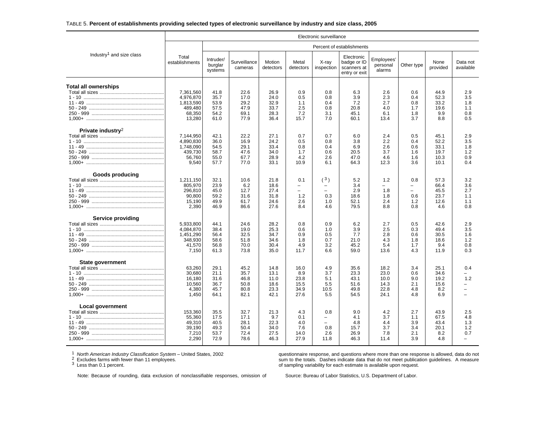## TABLE 5. **Percent of establishments providing selected types of electronic surveillance by industry and size class, 2005**

|                                                                   | Electronic surveillance                                            |                                              |                                              |                                              |                                                                  |                                                                   |                                                           |                                              |                                        |                                              |                                             |
|-------------------------------------------------------------------|--------------------------------------------------------------------|----------------------------------------------|----------------------------------------------|----------------------------------------------|------------------------------------------------------------------|-------------------------------------------------------------------|-----------------------------------------------------------|----------------------------------------------|----------------------------------------|----------------------------------------------|---------------------------------------------|
|                                                                   |                                                                    |                                              |                                              |                                              |                                                                  |                                                                   | Percent of establishments                                 |                                              |                                        |                                              |                                             |
| Industry <sup>1</sup> and size class                              | Total<br>establishments                                            | Intruder/<br>burglar<br>systems              | Surveillance<br>cameras                      | Motion<br>detectors                          | Metal<br>detectors                                               | X-ray<br>inspection                                               | Electronic<br>badge or ID<br>scanners at<br>entry or exit | Employees'<br>personal<br>alarms             | Other type                             | None<br>provided                             | Data not<br>available                       |
| <b>Total all ownerships</b>                                       | 7,361,560<br>4,976,870<br>1,813,590<br>489,480<br>68,350<br>13,280 | 41.8<br>35.7<br>53.9<br>57.5<br>54.2<br>61.0 | 22.6<br>17.0<br>29.2<br>47.9<br>69.1<br>77.9 | 26.9<br>24.0<br>32.9<br>33.7<br>28.3<br>36.4 | 0.9<br>0.5<br>1.1<br>2.5<br>7.2<br>15.7                          | 0.8<br>0.8<br>0.4<br>0.8<br>3.1<br>7.0                            | 6.3<br>3.9<br>7.2<br>20.8<br>45.1<br>60.1                 | 2.6<br>2.3<br>2.7<br>4.0<br>6.1<br>13.4      | 0.6<br>0.4<br>0.8<br>1.7<br>1.8<br>3.7 | 44.9<br>52.3<br>33.2<br>19.6<br>9.9<br>8.8   | 2.9<br>3.5<br>1.8<br>1.1<br>0.8<br>0.5      |
| Private industry <sup>2</sup>                                     | 7.144.950<br>4.890.830<br>1,748,090<br>439,730<br>56,760<br>9,540  | 42.1<br>36.0<br>54.5<br>58.7<br>55.0<br>57.7 | 22.2<br>16.9<br>29.1<br>47.6<br>67.7<br>77.0 | 27.1<br>24.2<br>33.4<br>34.0<br>28.9<br>33.1 | 0.7<br>0.5<br>0.8<br>1.7<br>4.2<br>10.9                          | 0.7<br>0.8<br>0.4<br>0.6<br>2.6<br>6.1                            | 6.0<br>3.8<br>6.9<br>20.5<br>47.0<br>64.3                 | 2.4<br>2.2<br>2.6<br>3.7<br>4.6<br>12.3      | 0.5<br>0.4<br>0.6<br>1.6<br>1.6<br>3.6 | 45.1<br>52.2<br>33.1<br>19.7<br>10.3<br>10.1 | 2.9<br>3.5<br>1.8<br>1.2<br>0.9<br>0.4      |
| <b>Goods producing</b><br>$1 - 10$<br>1,000+ …………………………………………………… | 1,211,150<br>805,970<br>296,810<br>90,800<br>15,190<br>2,390       | 32.1<br>23.9<br>45.0<br>59.2<br>49.9<br>46.9 | 10.6<br>6.2<br>12.7<br>31.6<br>61.7<br>86.6  | 21.8<br>18.6<br>27.4<br>31.8<br>24.6<br>27.6 | 0.1<br>$\overline{\phantom{0}}$<br>$\equiv$<br>1.2<br>2.6<br>8.4 | (3)<br>0.3<br>1.0<br>4.6                                          | 5.2<br>3.4<br>2.9<br>18.6<br>52.1<br>79.5                 | 1.2<br>1.8<br>1.8<br>2.4<br>8.8              | 0.8<br>L,<br>0.6<br>1.2<br>0.8         | 57.3<br>66.4<br>45.5<br>23.7<br>12.6<br>4.6  | 3.2<br>3.6<br>2.7<br>1.1<br>1.1<br>0.8      |
| <b>Service providing</b>                                          | 5,933,800<br>4,084,870<br>1,451,290<br>348,930<br>41,570<br>7,150  | 44.1<br>38.4<br>56.4<br>58.6<br>56.8<br>61.3 | 24.6<br>19.0<br>32.5<br>51.8<br>70.0<br>73.8 | 28.2<br>25.3<br>34.7<br>34.6<br>30.4<br>35.0 | 0.8<br>0.6<br>0.9<br>1.8<br>4.9<br>11.7                          | 0.9<br>1.0<br>0.5<br>0.7<br>3.2<br>6.6                            | 6.2<br>3.9<br>7.7<br>21.0<br>45.2<br>59.0                 | 2.7<br>2.5<br>2.8<br>4.3<br>5.4<br>13.6      | 0.5<br>0.3<br>0.6<br>1.8<br>1.7<br>4.3 | 42.6<br>49.4<br>30.5<br>18.6<br>9.4<br>11.9  | 2.9<br>3.5<br>1.6<br>1.2<br>0.8<br>0.3      |
| State government                                                  | 63.260<br>30.680<br>16,180<br>10,560<br>4,380<br>1,450             | 29.1<br>21.1<br>31.6<br>36.7<br>45.7<br>64.1 | 45.2<br>35.7<br>46.8<br>50.8<br>80.8<br>82.1 | 14.8<br>13.1<br>11.0<br>18.6<br>23.3<br>42.1 | 16.0<br>8.9<br>23.8<br>15.5<br>34.9<br>27.6                      | 4.9<br>3.7<br>5.1<br>5.5<br>10.5<br>5.5                           | 35.6<br>23.3<br>43.1<br>51.6<br>49.8<br>54.5              | 18.2<br>23.0<br>10.0<br>14.3<br>22.8<br>24.1 | 3.4<br>0.6<br>9.0<br>2.1<br>4.8<br>4.8 | 25.1<br>34.6<br>19.2<br>15.6<br>8.2<br>6.9   | 0.4<br>1.2<br>$\overline{\phantom{0}}$<br>÷ |
| Local government                                                  | 153,360<br>55,360<br>49,310<br>39.190<br>7,210<br>2,290            | 35.5<br>17.5<br>40.5<br>49.3<br>53.7<br>72.9 | 32.7<br>17.1<br>28.1<br>50.4<br>72.4<br>78.6 | 21.3<br>9.7<br>22.3<br>34.0<br>27.5<br>46.3  | 4.3<br>0.1<br>4.0<br>7.6<br>14.0<br>27.9                         | 0.8<br>$\overline{\phantom{m}}$<br>$\equiv$<br>0.8<br>2.6<br>11.8 | 9.0<br>4.1<br>4.8<br>15.7<br>26.9<br>46.3                 | 4.2<br>3.7<br>4.4<br>3.7<br>7.8<br>11.4      | 2.7<br>1.1<br>3.9<br>3.4<br>2.1<br>3.9 | 43.9<br>67.5<br>43.4<br>20.1<br>8.2<br>4.8   | 2.5<br>4.8<br>1.3<br>1.2<br>0.7             |

1 *North American Industry Classification System* – United States, 2002<br><sup>2</sup> Excludes farms with fewer than 11 employees.<br><sup>3</sup> Lese than 0.4 persont

<sup>3</sup> Less than 0.1 percent.

questionnaire response, and questions where more than one response is allowed, data do not sum to the totals. Dashes indicate data that do not meet publication guidelines. A measure of sampling variability for each estimate is available upon request.

Note: Because of rounding, data exclusion of nonclassifiable responses, omission of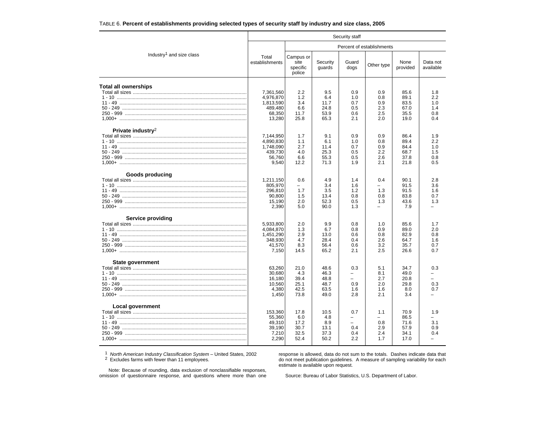| TABLE 6. Percent of establishments providing selected types of security staff by industry and size class, 2005 |  |  |  |
|----------------------------------------------------------------------------------------------------------------|--|--|--|
|----------------------------------------------------------------------------------------------------------------|--|--|--|

|                                                                        | Security staff                                                     |                                             |                                              |                                                         |                                        |                                              |                                                             |  |  |  |
|------------------------------------------------------------------------|--------------------------------------------------------------------|---------------------------------------------|----------------------------------------------|---------------------------------------------------------|----------------------------------------|----------------------------------------------|-------------------------------------------------------------|--|--|--|
|                                                                        |                                                                    |                                             |                                              |                                                         | Percent of establishments              |                                              |                                                             |  |  |  |
| Industry <sup>1</sup> and size class                                   | Total<br>establishments                                            | Campus or<br>site<br>specific<br>police     | Security<br>guards                           | Guard<br>dogs                                           | Other type                             | None<br>provided                             | Data not<br>available                                       |  |  |  |
| <b>Total all ownerships</b><br>1,000+ …………………………………………………………………………………… | 7,361,560<br>4,976,870<br>1,813,590<br>489,480<br>68,350<br>13,280 | 2.2<br>1.2<br>3.4<br>6.6<br>11.7<br>25.8    | 9.5<br>6.4<br>11.7<br>24.8<br>53.9<br>65.3   | 0.9<br>1.0<br>0.7<br>0.5<br>0.6<br>2.1                  | 0.9<br>0.8<br>0.9<br>2.3<br>2.5<br>2.0 | 85.6<br>89.1<br>83.5<br>67.0<br>35.5<br>19.0 | 1.8<br>2.2<br>1.0<br>1.4<br>0.8<br>0.4                      |  |  |  |
| Private industry <sup>2</sup>                                          | 7,144,950<br>4,890,830<br>1,748,090<br>439,730<br>56,760<br>9,540  | 1.7<br>1.1<br>2.7<br>4.0<br>6.6<br>12.2     | 9.1<br>6.1<br>11.4<br>25.3<br>55.3<br>71.3   | 0.9<br>1.0<br>0.7<br>0.5<br>0.5<br>1.9                  | 0.9<br>0.8<br>0.9<br>2.2<br>2.6<br>2.1 | 86.4<br>89.4<br>84.4<br>68.7<br>37.8<br>21.8 | 1.9<br>2.2<br>1.0<br>1.5<br>0.8<br>0.5                      |  |  |  |
| <b>Goods producing</b>                                                 | 1,211,150<br>805,970<br>296,810<br>90,800<br>15,190<br>2,390       | 0.6<br>1.7<br>1.5<br>2.0<br>5.0             | 4.9<br>3.4<br>3.5<br>13.4<br>52.3<br>90.0    | 1.4<br>1.6<br>1.2<br>0.8<br>0.5<br>1.3                  | 0.4<br>1.3<br>0.8<br>1.3<br>-          | 90.1<br>91.5<br>91.5<br>83.8<br>43.6<br>7.9  | 2.8<br>3.6<br>1.6<br>0.7<br>1.3<br>$\overline{\phantom{0}}$ |  |  |  |
| Service providing                                                      | 5,933,800<br>4,084,870<br>1,451,290<br>348,930<br>41.570<br>7,150  | 2.0<br>1.3<br>2.9<br>4.7<br>8.3<br>14.5     | 9.9<br>6.7<br>13.0<br>28.4<br>56.4<br>65.2   | 0.8<br>0.8<br>0.6<br>0.4<br>0.6<br>2.1                  | 1.0<br>0.9<br>0.8<br>2.6<br>3.2<br>2.5 | 85.6<br>89.0<br>82.9<br>64.7<br>35.7<br>26.6 | 1.7<br>2.0<br>0.8<br>1.6<br>0.7<br>0.7                      |  |  |  |
| State government                                                       | 63.260<br>30,680<br>16,180<br>10,560<br>4.380<br>1,450             | 21.0<br>4.3<br>39.4<br>25.1<br>42.5<br>73.8 | 48.6<br>46.3<br>48.8<br>48.7<br>63.5<br>49.0 | 0.3<br>$\qquad \qquad$<br>$\equiv$<br>0.9<br>1.6<br>2.8 | 5.1<br>8.1<br>2.7<br>2.0<br>1.6<br>2.1 | 34.7<br>49.0<br>20.8<br>29.8<br>8.0<br>3.4   | 0.3<br>-<br>L.<br>0.3<br>0.7<br>$\equiv$                    |  |  |  |
| Local government                                                       | 153,360<br>55,360<br>49,310<br>39,190<br>7,210<br>2,290            | 17.8<br>6.0<br>17.2<br>30.7<br>32.5<br>52.4 | 10.5<br>4.8<br>8.9<br>13.1<br>37.3<br>50.2   | 0.7<br>$=$<br>0.4<br>0.4<br>2.2                         | 1.1<br>$=$<br>0.8<br>2.9<br>2.4<br>1.7 | 70.9<br>86.5<br>71.6<br>57.9<br>34.1<br>17.0 | 1.9<br>$=$<br>3.1<br>0.9<br>0.4                             |  |  |  |

<sup>1</sup> North American Industry Classification System – United States, 2002<br><sup>2</sup> Excludes farms with fewer than 11 employees.

response is allowed, data do not sum to the totals. Dashes indicate data that do not meet publication guidelines. A measure of sampling variability for each estimate is available upon request.

Note: Because of rounding, data exclusion of nonclassifiable responses, omission of questionnaire response, and questions where more than one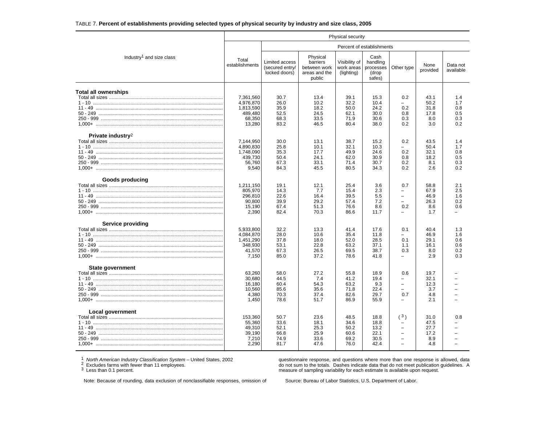## TABLE 7. **Percent of establishments providing selected types of physical security by industry and size class, 2005**

|                                                                          |                                                                    |                                                    |                                                                 | Physical security                            |                                                  |                                                                            |                                            |                                        |
|--------------------------------------------------------------------------|--------------------------------------------------------------------|----------------------------------------------------|-----------------------------------------------------------------|----------------------------------------------|--------------------------------------------------|----------------------------------------------------------------------------|--------------------------------------------|----------------------------------------|
|                                                                          |                                                                    |                                                    |                                                                 |                                              | Percent of establishments                        |                                                                            |                                            |                                        |
| Industry <sup>1</sup> and size class                                     | Total<br>establishments                                            | Limited access<br>(secured entry/<br>locked doors) | Physical<br>barriers<br>between work<br>areas and the<br>public | Visibility of<br>work areas<br>(lighting)    | Cash<br>handling<br>processes<br>(drop<br>safes) | Other type                                                                 | None<br>provided                           | Data not<br>available                  |
| Total all ownerships                                                     | 7,361,560<br>4,976,870<br>1,813,590<br>489,480<br>68,350<br>13,280 | 30.7<br>26.0<br>35.9<br>52.5<br>68.3<br>83.2       | 13.4<br>10.2<br>18.2<br>24.5<br>33.5<br>46.5                    | 39.1<br>32.2<br>50.0<br>62.1<br>71.9<br>80.4 | 15.3<br>10.4<br>24.2<br>30.0<br>30.6<br>38.0     | 0.2<br>0.2<br>0.8<br>0.3<br>0.2                                            | 43.1<br>50.2<br>31.8<br>17.8<br>8.0<br>3.0 | 1.4<br>1.7<br>0.8<br>0.5<br>0.3<br>0.2 |
| Private industry <sup>2</sup><br>1,000+ …………………………………………………………………………………… | 7,144,950<br>4,890,830<br>1,748,090<br>439,730<br>56,760<br>9,540  | 30.0<br>25.8<br>35.3<br>50.4<br>67.3<br>84.3       | 13.1<br>10.1<br>17.7<br>24.1<br>33.1<br>45.5                    | 38.7<br>32.1<br>49.9<br>62.0<br>71.4<br>80.5 | 15.2<br>10.3<br>24.6<br>30.9<br>30.7<br>34.3     | 0.2<br>0.2<br>0.8<br>0.2<br>0.2                                            | 43.5<br>50.4<br>32.1<br>18.2<br>8.1<br>2.6 | 1.4<br>1.7<br>0.8<br>0.5<br>0.3<br>0.2 |
| Goods producing<br>1.000+ ………………………………………………………………………………………              | 1,211,150<br>805.970<br>296,810<br>90.800<br>15,190<br>2.390       | 19.1<br>14.3<br>22.6<br>39.9<br>67.4<br>82.4       | 12.1<br>7.7<br>16.4<br>29.2<br>51.3<br>70.3                     | 25.4<br>15.4<br>39.5<br>57.4<br>76.6<br>86.6 | 3.6<br>2.3<br>5.5<br>7.2<br>8.6<br>11.7          | 0.7<br>$\overline{\phantom{0}}$<br>$\overline{\phantom{0}}$<br>0.2         | 58.8<br>67.9<br>46.9<br>26.3<br>8.6<br>1.7 | 2.1<br>2.5<br>1.6<br>0.2<br>0.6        |
| Service providing                                                        | 5,933,800<br>4,084,870<br>1,451,290<br>348,930<br>41,570<br>7,150  | 32.2<br>28.0<br>37.8<br>53.1<br>67.3<br>85.0       | 13.3<br>10.6<br>18.0<br>22.8<br>26.5<br>37.2                    | 41.4<br>35.4<br>52.0<br>63.2<br>69.5<br>78.6 | 17.6<br>11.8<br>28.5<br>37.1<br>38.7<br>41.8     | 0.1<br>0.1<br>1.1<br>0.3                                                   | 40.4<br>46.9<br>29.1<br>16.1<br>8.0<br>2.9 | 1.3<br>1.6<br>0.6<br>0.6<br>0.2<br>0.3 |
| State government                                                         | 63,260<br>30.680<br>16,180<br>10.560<br>4,380<br>1.450             | 58.0<br>44.5<br>60.4<br>85.6<br>70.3<br>78.6       | 27.2<br>7.4<br>54.3<br>35.6<br>37.4<br>51.7                     | 55.8<br>41.2<br>63.2<br>71.8<br>82.6<br>86.9 | 18.9<br>19.4<br>9.3<br>22.4<br>29.7<br>55.9      | 0.6<br>$\overline{\phantom{0}}$<br>$\overline{ }$<br>L.<br>0.7<br>$\equiv$ | 19.7<br>32.1<br>12.3<br>3.7<br>4.8<br>2.1  |                                        |
| Local government                                                         | 153,360<br>55,360<br>49.310<br>39,190<br>7,210<br>2,290            | 50.7<br>33.6<br>52.1<br>66.8<br>74.9<br>81.7       | 23.6<br>18.1<br>25.3<br>25.9<br>33.6<br>47.6                    | 48.5<br>34.6<br>50.2<br>60.6<br>69.2<br>76.0 | 18.8<br>18.8<br>13.2<br>22.1<br>30.5<br>42.4     | (3)<br>$\overline{a}$                                                      | 31.0<br>47.5<br>27.7<br>17.2<br>8.9<br>4.8 | 0.8                                    |

<sup>1</sup> *North American Industry Classification System* – United States, 2002<br><sup>2</sup> Excludes farms with fewer than 11 employees.<br><sup>3</sup> Less than 0.1 percent.

questionnaire response, and questions where more than one response is allowed, data do not sum to the totals. Dashes indicate data that do not meet publication guidelines. A measure of sampling variability for each estimate is available upon request.

Note: Because of rounding, data exclusion of nonclassifiable responses, omission of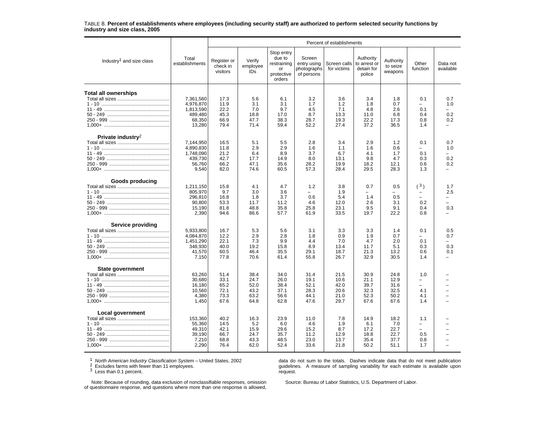#### TABLE 8. **Percent of establishments where employees (including security staff) are authorized to perform selected security functions by industry and size class, 2005**

|                                      |                                                                    | Percent of establishments                    |                                              |                                                                   |                                                    |                                              |                                                   |                                              |                                                             |                                                                           |  |
|--------------------------------------|--------------------------------------------------------------------|----------------------------------------------|----------------------------------------------|-------------------------------------------------------------------|----------------------------------------------------|----------------------------------------------|---------------------------------------------------|----------------------------------------------|-------------------------------------------------------------|---------------------------------------------------------------------------|--|
| Industry <sup>1</sup> and size class | Total<br>establishments                                            | Register or<br>check in<br>visitors          | Verify<br>employee<br>ID <sub>s</sub>        | Stop entry<br>due to<br>restraining<br>or<br>protective<br>orders | Screen<br>entry using<br>photographs<br>of persons | Screen calls<br>for victims                  | Authority<br>to arrest or<br>detain for<br>police | Authority<br>to seize<br>weapons             | Other<br>function                                           | Data not<br>available                                                     |  |
| <b>Total all ownerships</b>          | 7,361,560<br>4.976.870<br>1,813,590<br>489,480<br>68,350<br>13,280 | 17.3<br>11.9<br>22.2<br>45.3<br>66.9<br>79.4 | 5.6<br>3.1<br>7.0<br>18.8<br>47.7<br>71.4    | 6.1<br>3.1<br>9.7<br>17.0<br>38.3<br>59.4                         | 3.2<br>1.7<br>4.5<br>8.7<br>28.7<br>52.2           | 3.6<br>1.2<br>7.1<br>13.3<br>19.3<br>27.4    | 3.4<br>1.8<br>4.8<br>11.0<br>22.2<br>37.2         | 1.8<br>0.7<br>2.6<br>6.8<br>17.3<br>36.5     | 0.1<br>0.1<br>0.4<br>0.8<br>1.4                             | 0.7<br>1.0<br>0.2<br>0.2                                                  |  |
| Private industry <sup>2</sup>        | 7.144.950<br>4,890,830<br>1.748.090<br>439,730<br>56,760<br>9,540  | 16.5<br>11.8<br>21.2<br>42.7<br>66.2<br>82.0 | 5.1<br>2.9<br>6.4<br>17.7<br>47.1<br>74.6    | 5.5<br>2.9<br>8.9<br>14.9<br>35.6<br>60.5                         | 2.8<br>1.6<br>3.7<br>8.0<br>28.2<br>57.3           | 3.4<br>1.1<br>6.7<br>13.1<br>19.9<br>28.4    | 2.9<br>1.6<br>4.1<br>9.8<br>18.2<br>29.5          | 1.2<br>0.6<br>1.7<br>4.7<br>12.1<br>28.3     | 0.1<br>$\overline{\phantom{0}}$<br>0.1<br>0.3<br>0.6<br>1.3 | 0.7<br>1.0<br>0.2<br>0.2                                                  |  |
| Goods producing                      | 1,211,150<br>805,970<br>296.810<br>90.800<br>15,190<br>2,390       | 15.8<br>9.7<br>16.8<br>53.3<br>81.8<br>94.6  | 4.1<br>3.0<br>1.8<br>11.7<br>48.8<br>86.6    | 4.7<br>3.6<br>3.7<br>11.2<br>35.8<br>57.7                         | 1.2<br>0.6<br>4.6<br>25.8<br>61.9                  | 3.8<br>1.9<br>5.4<br>12.0<br>23.1<br>33.5    | 0.7<br>1.4<br>2.6<br>9.5<br>19.7                  | 0.5<br>0.5<br>3.1<br>9.1<br>22.2             | (3)<br>0.2<br>0.4<br>0.8                                    | 1.7<br>2.5<br>$\overline{\phantom{0}}$<br>$\overline{\phantom{0}}$<br>0.3 |  |
| Service providing                    | 5,933,800<br>4,084,870<br>1,451,290<br>348,930<br>41,570<br>7,150  | 16.7<br>12.2<br>22.1<br>40.0<br>60.5<br>77.8 | 5.3<br>2.9<br>7.3<br>19.2<br>46.4<br>70.6    | 5.6<br>2.8<br>9.9<br>15.8<br>35.5<br>61.4                         | 3.1<br>1.8<br>4.4<br>8.9<br>29.1<br>55.8           | 3.3<br>0.9<br>7.0<br>13.4<br>18.7<br>26.7    | 3.3<br>1.9<br>4.7<br>11.7<br>21.3<br>32.9         | 1.4<br>0.7<br>2.0<br>5.1<br>13.2<br>30.5     | 0.1<br>-<br>0.1<br>0.3<br>0.6<br>1.4                        | 0.5<br>0.7<br>0.3<br>0.1                                                  |  |
| <b>State government</b>              | 63.260<br>30,680<br>16,180<br>10,560<br>4,380<br>1,450             | 51.4<br>33.1<br>65.2<br>72.1<br>73.3<br>67.6 | 38.4<br>24.7<br>52.0<br>43.2<br>63.2<br>64.8 | 34.0<br>26.0<br>38.4<br>37.1<br>56.6<br>62.8                      | 31.4<br>19.1<br>52.1<br>28.3<br>44.1<br>47.6       | 21.5<br>10.6<br>42.0<br>20.6<br>21.0<br>29.7 | 30.9<br>21.1<br>39.7<br>32.3<br>52.3<br>67.6      | 24.8<br>12.9<br>31.6<br>32.5<br>50.2<br>67.6 | 1.0<br>-<br>Ξ.<br>4.1<br>4.1<br>1.4                         |                                                                           |  |
| <b>Local government</b>              | 153,360<br>55,360<br>49,310<br>39,190<br>7,210<br>2,290            | 40.2<br>14.5<br>42.1<br>66.7<br>68.8<br>76.4 | 16.3<br>5.2<br>15.9<br>24.7<br>43.3<br>62.0  | 23.9<br>6.0<br>29.6<br>35.7<br>48.5<br>52.4                       | 11.0<br>4.6<br>15.2<br>11.2<br>23.0<br>33.6        | 7.8<br>1.9<br>8.7<br>12.9<br>13.7<br>21.8    | 14.9<br>6.1<br>17.2<br>18.8<br>35.4<br>50.2       | 18.2<br>7.0<br>22.7<br>22.7<br>37.7<br>51.1  | 1.1<br>$\overline{\phantom{0}}$<br>Ξ.<br>0.5<br>0.8<br>1.7  |                                                                           |  |

<sup>1</sup> *North American Industry Classification System* – United States, 2002<br><sup>2</sup> Excludes farms with fewer than 11 employees.<br><sup>3</sup> Less than 0.1 percent.

data do not sum to the totals. Dashes indicate data that do not meet publication guidelines. A measure of sampling variability for each estimate is available upon request.

Note: Because of rounding, data exclusion of nonclassifiable responses, omission of questionnaire response, and questions where more than one response is allowed,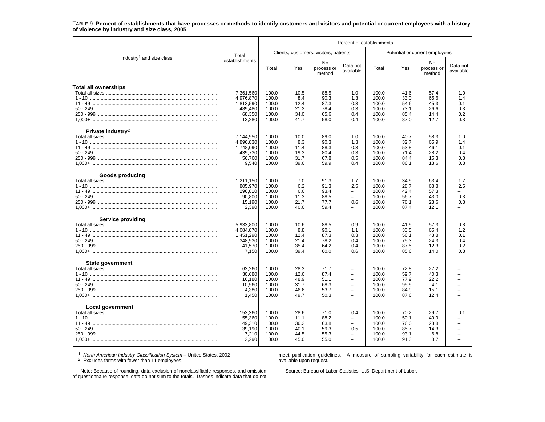#### TABLE 9. **Percent of establishments that have processes or methods to identify customers and visitors and potential or current employees with a history of violence by industry and size class, 2005**

|                                      |                                                                                                                                                                                                                                                                                                                                                                                                                                                                                                                                                                                                                                                                                                                                                                                                                                                                                                                                                                                                                                                                                                                                                                                                                                                                                                                                                                                                                                                                                                                                                                                                                                                                                                                                                                                                                                                                                                                                                                                                                                                                                                                          | Percent of establishments                          |                                              |                                              |                                                  |                                                    |                                              |                                            |                                                      |  |
|--------------------------------------|--------------------------------------------------------------------------------------------------------------------------------------------------------------------------------------------------------------------------------------------------------------------------------------------------------------------------------------------------------------------------------------------------------------------------------------------------------------------------------------------------------------------------------------------------------------------------------------------------------------------------------------------------------------------------------------------------------------------------------------------------------------------------------------------------------------------------------------------------------------------------------------------------------------------------------------------------------------------------------------------------------------------------------------------------------------------------------------------------------------------------------------------------------------------------------------------------------------------------------------------------------------------------------------------------------------------------------------------------------------------------------------------------------------------------------------------------------------------------------------------------------------------------------------------------------------------------------------------------------------------------------------------------------------------------------------------------------------------------------------------------------------------------------------------------------------------------------------------------------------------------------------------------------------------------------------------------------------------------------------------------------------------------------------------------------------------------------------------------------------------------|----------------------------------------------------|----------------------------------------------|----------------------------------------------|--------------------------------------------------|----------------------------------------------------|----------------------------------------------|--------------------------------------------|------------------------------------------------------|--|
|                                      | Clients, customers, visitors, patients<br>Potential or current employees<br>Total<br>establishments<br>No<br>No<br>Data not<br>Total<br>Yes<br>Total<br>Yes<br>process or<br>available<br>method<br>method<br>7,361,560<br>100.0<br>10.5<br>88.5<br>100.0<br>41.6<br>1.0<br>57.4<br>4,976,870<br>100.0<br>8.4<br>90.3<br>1.3<br>100.0<br>33.0<br>65.6<br>12.4<br>1,813,590<br>100.0<br>87.3<br>0.3<br>100.0<br>54.6<br>45.3<br>489,480<br>0.3<br>100.0<br>21.2<br>78.4<br>100.0<br>73.1<br>26.6<br>68,350<br>100.0<br>34.0<br>65.6<br>0.4<br>100.0<br>85.4<br>14.4<br>13,280<br>58.0<br>100.0<br>41.7<br>0.4<br>100.0<br>87.0<br>12.7<br>7,144,950<br>100.0<br>10.0<br>89.0<br>100.0<br>40.7<br>58.3<br>1.0<br>4.890.830<br>90.3<br>32.7<br>65.9<br>100.0<br>8.3<br>1.3<br>100.0<br>1,748,090<br>100.0<br>53.8<br>100.0<br>88.3<br>0.3<br>46.1<br>11.4<br>439,730<br>28.2<br>100.0<br>19.3<br>80.4<br>0.3<br>100.0<br>71.4<br>0.5<br>56,760<br>100.0<br>67.8<br>100.0<br>15.3<br>31.7<br>84.4<br>9,540<br>100.0<br>39.6<br>59.9<br>0.4<br>100.0<br>86.1<br>13.6<br>1,211,150<br>100.0<br>7.0<br>91.3<br>1.7<br>100.0<br>34.9<br>63.4<br>805,970<br>100.0<br>6.2<br>91.3<br>2.5<br>100.0<br>28.7<br>68.8<br>296,810<br>100.0<br>6.6<br>93.4<br>100.0<br>42.4<br>57.3<br>$\overline{\phantom{0}}$<br>90,800<br>100.0<br>88.5<br>100.0<br>56.7<br>43.0<br>11.3<br>15,190<br>0.6<br>23.6<br>100.0<br>21.7<br>77.7<br>100.0<br>76.1<br>2,390<br>100.0<br>40.6<br>59.4<br>100.0<br>87.4<br>12.1<br>$\overline{\phantom{0}}$<br>5,933,800<br>100.0<br>10.6<br>88.5<br>0.9<br>100.0<br>41.9<br>57.3<br>4,084,870<br>100.0<br>8.8<br>90.1<br>100.0<br>33.5<br>65.4<br>1.1<br>1,451,290<br>100.0<br>12.4<br>87.3<br>0.3<br>100.0<br>56.1<br>43.8<br>348,930<br>100.0<br>78.2<br>100.0<br>75.3<br>24.3<br>21.4<br>0.4<br>41,570<br>100.0<br>35.4<br>64.2<br>100.0<br>87.5<br>12.3<br>0.4<br>7,150<br>100.0<br>39.4<br>60.0<br>0.6<br>100.0<br>85.6<br>14.0<br>63,260<br>100.0<br>28.3<br>71.7<br>100.0<br>72.8<br>27.2<br>$\qquad \qquad -$<br>30,680<br>40.3<br>100.0<br>12.6<br>87.4<br>100.0<br>59.7<br>$\overline{\phantom{0}}$ |                                                    |                                              |                                              |                                                  |                                                    |                                              |                                            |                                                      |  |
| Industry <sup>1</sup> and size class |                                                                                                                                                                                                                                                                                                                                                                                                                                                                                                                                                                                                                                                                                                                                                                                                                                                                                                                                                                                                                                                                                                                                                                                                                                                                                                                                                                                                                                                                                                                                                                                                                                                                                                                                                                                                                                                                                                                                                                                                                                                                                                                          |                                                    |                                              |                                              |                                                  |                                                    |                                              | process or                                 | Data not<br>available                                |  |
| <b>Total all ownerships</b>          |                                                                                                                                                                                                                                                                                                                                                                                                                                                                                                                                                                                                                                                                                                                                                                                                                                                                                                                                                                                                                                                                                                                                                                                                                                                                                                                                                                                                                                                                                                                                                                                                                                                                                                                                                                                                                                                                                                                                                                                                                                                                                                                          |                                                    |                                              |                                              |                                                  |                                                    |                                              |                                            | 1.0<br>1.4<br>0.1<br>0.3<br>0.2<br>0.3               |  |
| Private industry <sup>2</sup>        |                                                                                                                                                                                                                                                                                                                                                                                                                                                                                                                                                                                                                                                                                                                                                                                                                                                                                                                                                                                                                                                                                                                                                                                                                                                                                                                                                                                                                                                                                                                                                                                                                                                                                                                                                                                                                                                                                                                                                                                                                                                                                                                          |                                                    |                                              |                                              |                                                  |                                                    |                                              |                                            | 1.0<br>1.4<br>0.1<br>0.4<br>0.3<br>0.3               |  |
| <b>Goods producing</b>               |                                                                                                                                                                                                                                                                                                                                                                                                                                                                                                                                                                                                                                                                                                                                                                                                                                                                                                                                                                                                                                                                                                                                                                                                                                                                                                                                                                                                                                                                                                                                                                                                                                                                                                                                                                                                                                                                                                                                                                                                                                                                                                                          |                                                    |                                              |                                              |                                                  |                                                    |                                              |                                            | 1.7<br>2.5<br>$\overline{\phantom{a}}$<br>0.3<br>0.3 |  |
| Service providing                    |                                                                                                                                                                                                                                                                                                                                                                                                                                                                                                                                                                                                                                                                                                                                                                                                                                                                                                                                                                                                                                                                                                                                                                                                                                                                                                                                                                                                                                                                                                                                                                                                                                                                                                                                                                                                                                                                                                                                                                                                                                                                                                                          |                                                    |                                              |                                              |                                                  |                                                    |                                              |                                            | 0.8<br>1.2<br>0.1<br>0.4<br>0.2<br>0.3               |  |
| State government                     | 16,180<br>10,560<br>4,380<br>1,450                                                                                                                                                                                                                                                                                                                                                                                                                                                                                                                                                                                                                                                                                                                                                                                                                                                                                                                                                                                                                                                                                                                                                                                                                                                                                                                                                                                                                                                                                                                                                                                                                                                                                                                                                                                                                                                                                                                                                                                                                                                                                       | 100.0<br>100.0<br>100.0<br>100.0                   | 48.9<br>31.7<br>46.6<br>49.7                 | 51.1<br>68.3<br>53.7<br>50.3                 | $\equiv$<br>$\sim$<br>$\overline{\phantom{0}}$   | 100.0<br>100.0<br>100.0<br>100.0                   | 77.9<br>95.9<br>84.9<br>87.6                 | 22.2<br>4.1<br>15.1<br>12.4                |                                                      |  |
| Local government                     | 153.360<br>55,360<br>49,310<br>39,190<br>7,210<br>2,290                                                                                                                                                                                                                                                                                                                                                                                                                                                                                                                                                                                                                                                                                                                                                                                                                                                                                                                                                                                                                                                                                                                                                                                                                                                                                                                                                                                                                                                                                                                                                                                                                                                                                                                                                                                                                                                                                                                                                                                                                                                                  | 100.0<br>100.0<br>100.0<br>100.0<br>100.0<br>100.0 | 28.6<br>11.1<br>36.2<br>40.1<br>44.5<br>45.0 | 71.0<br>88.2<br>63.8<br>59.3<br>55.3<br>55.0 | 0.4<br>$\overline{\phantom{0}}$<br>0.5<br>$\sim$ | 100.0<br>100.0<br>100.0<br>100.0<br>100.0<br>100.0 | 70.2<br>50.1<br>76.0<br>85.7<br>93.1<br>91.3 | 29.7<br>49.9<br>23.8<br>14.3<br>6.8<br>8.7 | 0.1                                                  |  |

<sup>1</sup> North American Industry Classification System – United States, 2002<br><sup>2</sup> Excludes farms with fewer than 11 employees.

meet publication guidelines. A measure of sampling variability for each estimate is available upon request.

 Note: Because of rounding, data exclusion of nonclassifiable responses, and omission of questionnaire response, data do not sum to the totals. Dashes indicate data that do not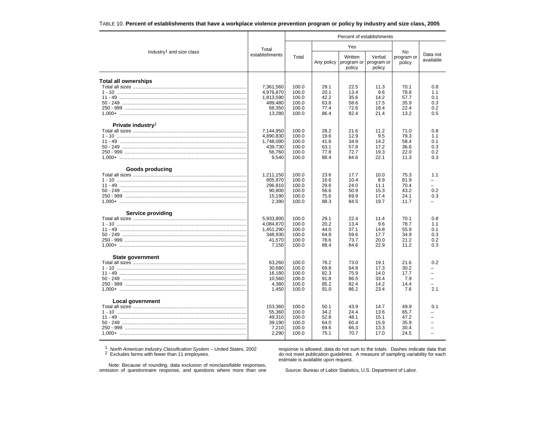| TABLE 10. Percent of establishments that have a workplace violence prevention program or policy by industry and size class, 2005 |  |
|----------------------------------------------------------------------------------------------------------------------------------|--|
|----------------------------------------------------------------------------------------------------------------------------------|--|

|                                      |                                                                    | Percent of establishments                          |                                              |                                              |                                              |                                              |                                        |  |  |
|--------------------------------------|--------------------------------------------------------------------|----------------------------------------------------|----------------------------------------------|----------------------------------------------|----------------------------------------------|----------------------------------------------|----------------------------------------|--|--|
|                                      | Total                                                              |                                                    |                                              | Yes                                          |                                              |                                              |                                        |  |  |
| Industry <sup>1</sup> and size class | establishments                                                     | Total                                              | Any policy                                   | Written<br>program or<br>policy              | Verbal<br>program or<br>policy               | No<br>program or<br>policy                   | Data not<br>available                  |  |  |
| <b>Total all ownerships</b>          | 7,361,560<br>4,976,870<br>1,813,590<br>489,480<br>68,350<br>13,280 | 100.0<br>100.0<br>100.0<br>100.0<br>100.0<br>100.0 | 29.1<br>20.1<br>42.2<br>63.8<br>77.4<br>86.4 | 22.5<br>13.4<br>35.6<br>58.6<br>72.6<br>82.4 | 11.3<br>9.6<br>14.2<br>17.5<br>18.4<br>21.4  | 70.1<br>78.8<br>57.7<br>35.9<br>22.4<br>13.2 | 0.8<br>1.1<br>0.1<br>0.3<br>0.2<br>0.5 |  |  |
| Private industry <sup>2</sup>        | 7,144,950<br>4,890,830<br>1,748,090<br>439,730<br>56,760<br>9,540  | 100.0<br>100.0<br>100.0<br>100.0<br>100.0<br>100.0 | 28.2<br>19.6<br>41.6<br>63.1<br>77.8<br>88.4 | 21.6<br>12.9<br>34.9<br>57.8<br>72.7<br>84.6 | 11.2<br>9.5<br>14.2<br>17.2<br>19.3<br>22.1  | 71.0<br>79.3<br>58.4<br>36.6<br>22.0<br>11.3 | 0.8<br>1.1<br>0.1<br>0.3<br>0.2<br>0.3 |  |  |
| Goods producing                      | 1,211,150<br>805,970<br>296,810<br>90,800<br>15,190<br>2,390       | 100.0<br>100.0<br>100.0<br>100.0<br>100.0<br>100.0 | 23.6<br>16.6<br>29.6<br>56.6<br>75.6<br>88.3 | 17.7<br>10.4<br>24.0<br>50.9<br>69.9<br>84.5 | 10.0<br>8.9<br>11.1<br>15.3<br>17.4<br>19.7  | 75.3<br>81.9<br>70.4<br>43.2<br>24.1<br>11.7 | 1.1<br>-<br>0.2<br>0.3                 |  |  |
| Service providing                    | 5,933,800<br>4,084,870<br>1,451,290<br>348,930<br>41,570<br>7,150  | 100.0<br>100.0<br>100.0<br>100.0<br>100.0<br>100.0 | 29.1<br>20.2<br>44.0<br>64.8<br>78.6<br>88.4 | 22.4<br>13.4<br>37.1<br>59.6<br>73.7<br>84.6 | 11.4<br>9.6<br>14.8<br>17.7<br>20.0<br>22.9  | 70.1<br>78.7<br>55.9<br>34.9<br>21.2<br>11.2 | 0.8<br>1.1<br>0.1<br>0.3<br>0.2<br>0.3 |  |  |
| State government                     | 63,260<br>30,680<br>16,180<br>10.560<br>4,380<br>1.450             | 100.0<br>100.0<br>100.0<br>100.0<br>100.0<br>100.0 | 78.2<br>69.8<br>82.3<br>91.8<br>85.2<br>91.0 | 73.0<br>64.8<br>75.9<br>86.5<br>82.4<br>86.2 | 19.1<br>17.3<br>14.0<br>33.4<br>14.2<br>23.4 | 21.6<br>30.2<br>17.7<br>7.9<br>14.4<br>7.6   | 0.2<br>$\overline{\phantom{0}}$<br>2.1 |  |  |
| Local government                     | 153,360<br>55,360<br>49,310<br>39,190<br>7,210<br>2,290            | 100.0<br>100.0<br>100.0<br>100.0<br>100.0<br>100.0 | 50.1<br>34.2<br>52.8<br>64.0<br>69.6<br>75.1 | 43.9<br>24.4<br>48.1<br>60.4<br>66.3<br>70.7 | 14.7<br>13.6<br>15.1<br>15.9<br>13.3<br>17.0 | 49.9<br>65.7<br>47.2<br>35.9<br>30.4<br>24.5 | 0.1                                    |  |  |

<sup>1</sup> North American Industry Classification System – United States, 2002<br><sup>2</sup> Excludes farms with fewer than 11 employees.

response is allowed, data do not sum to the totals. Dashes indicate data that do not meet publication guidelines. A measure of sampling variability for each estimate is available upon request.

Note: Because of rounding, data exclusion of nonclassifiable responses, omission of questionnaire response, and questions where more than one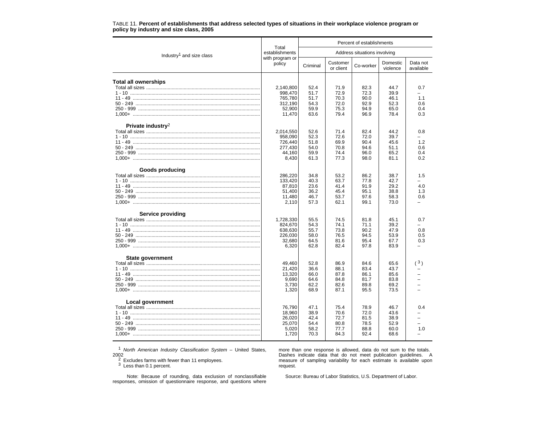|                                      |                           | Percent of establishments    |                       |           |                      |                       |  |  |  |
|--------------------------------------|---------------------------|------------------------------|-----------------------|-----------|----------------------|-----------------------|--|--|--|
| Industry <sup>1</sup> and size class | Total<br>establishments   | Address situations involving |                       |           |                      |                       |  |  |  |
|                                      | with program or<br>policy | Criminal                     | Customer<br>or client | Co-worker | Domestic<br>violence | Data not<br>available |  |  |  |
| Total all ownerships                 |                           |                              |                       |           |                      |                       |  |  |  |
|                                      | 2,140,800                 | 52.4                         | 71.9                  | 82.3      | 44.7                 | 0.7                   |  |  |  |
|                                      | 998,470                   | 51.7                         | 72.9                  | 72.3      | 39.9                 |                       |  |  |  |
|                                      | 765,780                   | 51.7                         | 70.3                  | 90.0      | 46.1                 | 1.1                   |  |  |  |
|                                      | 312,190                   | 54.3                         | 72.0                  | 92.9      | 52.3                 | 0.6                   |  |  |  |
|                                      | 52,900                    | 59.9                         | 75.3                  | 94.9      | 65.0                 | 0.4                   |  |  |  |
|                                      | 11,470                    | 63.6                         | 79.4                  | 96.9      | 78.4                 | 0.3                   |  |  |  |
| Private industry <sup>2</sup>        |                           |                              |                       |           |                      |                       |  |  |  |
|                                      | 2,014,550                 | 52.6                         | 71.4                  | 82.4      | 44.2                 | 0.8                   |  |  |  |
|                                      | 958,090                   | 52.3                         | 72.6                  | 72.0      | 39.7                 |                       |  |  |  |
|                                      | 726.440                   | 51.8                         | 69.9                  | 90.4      | 45.6                 | 1.2                   |  |  |  |
|                                      | 277,430                   | 54.0                         | 70.8                  | 94.6      | 51.1                 | 0.6                   |  |  |  |
|                                      | 44.160                    | 59.9                         | 74.4                  | 96.0      | 65.2                 | 0.4                   |  |  |  |
|                                      | 8,430                     | 61.3                         | 77.3                  | 98.0      | 81.1                 | 0.2                   |  |  |  |
| Goods producing                      |                           |                              |                       |           |                      |                       |  |  |  |
|                                      | 286,220                   | 34.8                         | 53.2                  | 86.2      | 38.7                 | 1.5                   |  |  |  |
|                                      | 133,420                   | 40.3                         | 63.7                  | 77.8      | 42.7                 |                       |  |  |  |
|                                      | 87,810                    | 23.6                         | 41.4                  | 91.9      | 29.2                 | 4.0                   |  |  |  |
|                                      | 51.400                    | 36.2                         | 45.4                  | 95.1      | 38.8                 | 1.3                   |  |  |  |
|                                      | 11,480                    | 46.7                         | 53.7                  | 97.6      | 58.3                 | 0.6                   |  |  |  |
|                                      | 2,110                     | 57.3                         | 62.1                  | 99.1      | 73.0                 |                       |  |  |  |
| <b>Service providing</b>             |                           |                              |                       |           |                      |                       |  |  |  |
|                                      | 1,728,330                 | 55.5                         | 74.5                  | 81.8      | 45.1                 | 0.7                   |  |  |  |
|                                      | 824,670                   | 54.3                         | 74.1                  | 71.1      | 39.2                 |                       |  |  |  |
|                                      | 638,630                   | 55.7                         | 73.8                  | 90.2      | 47.9                 | 0.8                   |  |  |  |
|                                      | 226,030                   | 58.0                         | 76.5                  | 94.5      | 53.9                 | 0.5                   |  |  |  |
|                                      | 32,680                    | 64.5                         | 81.6                  | 95.4      | 67.7                 | 0.3                   |  |  |  |
|                                      | 6,320                     | 62.8                         | 82.4                  | 97.8      | 83.9                 |                       |  |  |  |
| <b>State government</b>              |                           |                              |                       |           |                      |                       |  |  |  |
|                                      | 49,460                    | 52.8                         | 86.9                  | 84.6      | 65.6                 | (3)                   |  |  |  |
|                                      | 21.420                    | 36.6                         | 88.1                  | 83.4      | 43.7                 |                       |  |  |  |
|                                      | 13,320                    | 66.0                         | 87.8                  | 86.1      | 85.6                 |                       |  |  |  |
|                                      | 9.690                     | 64.6                         | 84.8                  | 81.7      | 83.8                 |                       |  |  |  |
|                                      | 3,730                     | 62.2                         | 82.6                  | 89.8      | 69.2                 |                       |  |  |  |
|                                      | 1,320                     | 68.9                         | 87.1                  | 95.5      | 73.5                 |                       |  |  |  |
| Local government                     |                           | 47.1                         |                       | 78.9      | 46.7                 | 0.4                   |  |  |  |
|                                      | 76,790                    |                              | 75.4                  |           |                      |                       |  |  |  |
|                                      | 18,960                    | 38.9                         | 70.6                  | 72.0      | 43.6                 |                       |  |  |  |
|                                      | 26,020                    | 42.4                         | 72.7                  | 81.5      | 38.9                 |                       |  |  |  |
|                                      | 25,070                    | 54.4                         | 80.8                  | 78.5      | 52.9                 |                       |  |  |  |
|                                      | 5,020                     | 58.2                         | 77.7                  | 88.8      | 60.0                 | 1.0                   |  |  |  |
|                                      | 1,720                     | 70.3                         | 84.3                  | 92.4      | 68.6                 |                       |  |  |  |

#### TABLE 11. **Percent of establishments that address selected types of situations in their workplace violence program or policy by industry and size class, 2005**

1 *North American Industry Classification System* – United States,

2002 2 Excludes farms with fewer than 11 employees. 3 Less than 0.1 percent.

more than one response is allowed, data do not sum to the totals. Dashes indicate data that do not meet publication guidelines. A measure of sampling variability for each estimate is available upon request.

Note: Because of rounding, data exclusion of nonclassifiable responses, omission of questionnaire response, and questions where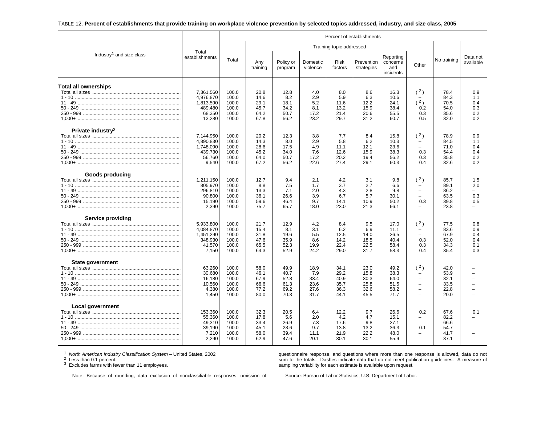#### TABLE 12. **Percent of establishments that provide training on workplace violence prevention by selected topics addressed, industry, and size class, 2005**

|                                                               |                                                                    | Percent of establishments                          |                                              |                                              |                                             |                                              |                                              |                                              |                                                                                                             |                                              |                                        |  |
|---------------------------------------------------------------|--------------------------------------------------------------------|----------------------------------------------------|----------------------------------------------|----------------------------------------------|---------------------------------------------|----------------------------------------------|----------------------------------------------|----------------------------------------------|-------------------------------------------------------------------------------------------------------------|----------------------------------------------|----------------------------------------|--|
| Industry <sup>1</sup> and size class                          |                                                                    |                                                    | Training topic addressed                     |                                              |                                             |                                              |                                              |                                              |                                                                                                             |                                              |                                        |  |
|                                                               | Total<br>establishments                                            | Total                                              | Any<br>training                              | Policy or<br>program                         | Domestic<br>violence                        | <b>Risk</b><br>factors                       | Prevention<br>strategies                     | Reporting<br>concerns<br>and<br>incidents    | Other                                                                                                       | No training                                  | Data not<br>available                  |  |
| <b>Total all ownerships</b>                                   | 7.361.560<br>4,976,870<br>1,813,590<br>489,480<br>68,350<br>13,280 | 100.0<br>100.0<br>100.0<br>100.0<br>100.0<br>100.0 | 20.8<br>14.6<br>29.1<br>45.7<br>64.2<br>67.8 | 12.8<br>8.2<br>18.1<br>34.2<br>50.7<br>56.2  | 4.0<br>2.9<br>5.2<br>8.1<br>17.2<br>23.2    | 8.0<br>5.9<br>11.6<br>13.2<br>21.4<br>29.7   | 8.6<br>6.3<br>12.2<br>15.9<br>20.6<br>31.2   | 16.3<br>10.6<br>24.1<br>38.4<br>55.5<br>60.7 | (2)<br>(2)<br>0.2<br>0.3<br>0.5                                                                             | 78.4<br>84.3<br>70.5<br>54.0<br>35.6<br>32.0 | 0.9<br>1.1<br>0.4<br>0.3<br>0.2<br>0.2 |  |
| Private industry <sup>3</sup>                                 | 7.144.950<br>4,890,830<br>1,748,090<br>439,730<br>56,760<br>9,540  | 100.0<br>100.0<br>100.0<br>100.0<br>100.0<br>100.0 | 20.2<br>14.3<br>28.6<br>45.2<br>64.0<br>67.2 | 12.3<br>8.0<br>17.5<br>34.0<br>50.7<br>56.2  | 3.8<br>2.9<br>4.9<br>7.6<br>17.2<br>22.6    | 7.7<br>5.8<br>11.1<br>12.6<br>20.2<br>27.4   | 8.4<br>6.2<br>12.1<br>15.9<br>19.4<br>29.1   | 15.8<br>10.3<br>23.6<br>38.3<br>56.2<br>60.3 | (2)<br>$\overline{\phantom{0}}$<br>$\equiv$<br>0.3<br>0.3<br>0.4                                            | 78.9<br>84.5<br>71.0<br>54.4<br>35.8<br>32.6 | 0.9<br>1.1<br>0.4<br>0.4<br>0.2<br>0.2 |  |
| Goods producing                                               | 1,211,150<br>805,970<br>296,810<br>90,800<br>15,190<br>2,390       | 100.0<br>100.0<br>100.0<br>100.0<br>100.0<br>100.0 | 12.7<br>8.8<br>13.3<br>36.1<br>59.6<br>75.7  | 9.4<br>7.5<br>7.1<br>26.6<br>46.4<br>65.7    | 2.1<br>1.7<br>2.0<br>3.9<br>9.7<br>18.0     | 4.2<br>3.7<br>4.3<br>6.7<br>14.1<br>23.0     | 3.1<br>2.7<br>2.8<br>5.7<br>10.9<br>21.3     | 9.8<br>6.6<br>9.8<br>30.1<br>50.2<br>66.1    | (2)<br>$\qquad \qquad -$<br>$\overline{a}$<br>0.3<br>$\overline{\phantom{0}}$                               | 85.7<br>89.1<br>86.2<br>63.5<br>39.8<br>23.8 | 1.5<br>2.0<br>-<br>0.3<br>0.5          |  |
| <b>Service providing</b><br>1,000+ …………………………………………………………………… | 5,933,800<br>4,084,870<br>1,451,290<br>348,930<br>41,570<br>7.150  | 100.0<br>100.0<br>100.0<br>100.0<br>100.0<br>100.0 | 21.7<br>15.4<br>31.8<br>47.6<br>65.5<br>64.3 | 12.9<br>8.1<br>19.6<br>35.9<br>52.3<br>52.9  | 4.2<br>3.1<br>5.5<br>8.6<br>19.9<br>24.2    | 8.4<br>6.2<br>12.5<br>14.2<br>22.4<br>29.0   | 9.5<br>6.9<br>14.0<br>18.5<br>22.5<br>31.7   | 17.0<br>11.1<br>26.5<br>40.4<br>58.4<br>58.3 | (2)<br>$\overline{\phantom{m}}$<br>0.3<br>0.3<br>0.4                                                        | 77.5<br>83.6<br>67.9<br>52.0<br>34.3<br>35.4 | 0.8<br>0.9<br>0.4<br>0.4<br>0.1<br>0.3 |  |
| State government                                              | 63,260<br>30,680<br>16,180<br>10.560<br>4,380<br>1.450             | 100.0<br>100.0<br>100.0<br>100.0<br>100.0<br>100.0 | 58.0<br>46.1<br>67.9<br>66.6<br>77.2<br>80.0 | 49.9<br>40.7<br>52.8<br>61.3<br>69.2<br>70.3 | 18.9<br>7.9<br>33.4<br>23.6<br>27.6<br>31.7 | 34.1<br>29.2<br>40.9<br>35.7<br>36.3<br>44.1 | 23.0<br>15.8<br>30.3<br>25.8<br>32.6<br>45.5 | 49.2<br>38.3<br>64.0<br>51.5<br>58.2<br>71.7 | (2)<br>$\qquad \qquad -$<br>$\qquad \qquad -$<br>$\overline{\phantom{a}}$<br>$\overline{\phantom{0}}$<br>L. | 42.0<br>53.9<br>32.1<br>33.5<br>22.8<br>20.0 |                                        |  |
| Local government<br>1.000+ …………………………………………………………………          | 153,360<br>55,360<br>49,310<br>39,190<br>7,210<br>2,290            | 100.0<br>100.0<br>100.0<br>100.0<br>100.0<br>100.0 | 32.3<br>17.8<br>33.4<br>45.1<br>58.0<br>62.9 | 20.5<br>5.6<br>26.9<br>28.6<br>39.4<br>47.6  | 6.4<br>2.0<br>7.3<br>9.7<br>11.1<br>20.1    | 12.2<br>4.2<br>17.6<br>13.8<br>21.9<br>30.1  | 9.7<br>4.7<br>9.8<br>13.2<br>22.2<br>30.1    | 26.6<br>15.1<br>27.1<br>36.3<br>48.0<br>55.9 | 0.2<br>$\qquad \qquad -$<br>$\overline{\phantom{0}}$<br>0.1<br>$\overline{\phantom{0}}$<br>$\overline{a}$   | 67.6<br>82.2<br>66.6<br>54.7<br>41.7<br>37.1 | 0.1<br>÷                               |  |

<sup>1</sup> North American Industry Classification System – United States, 2002<br><sup>2</sup> Less than 0.1 persent

 $^2$  Less than 0.1 percent.<br> $^3$  Excludes farms with fewer than 11 employees.

questionnaire response, and questions where more than one response is allowed, data do not sum to the totals. Dashes indicate data that do not meet publication guidelines. A measure of sampling variability for each estimate is available upon request.

Note: Because of rounding, data exclusion of nonclassifiable responses, omission of